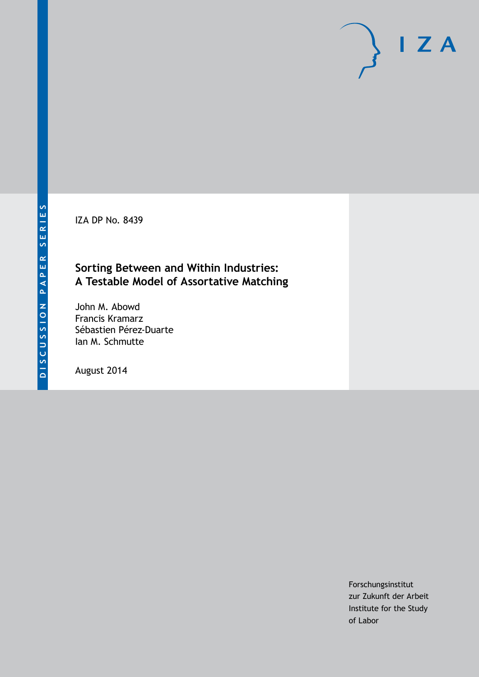IZA DP No. 8439

### **Sorting Between and Within Industries: A Testable Model of Assortative Matching**

John M. Abowd Francis Kramarz Sébastien Pérez-Duarte Ian M. Schmutte

August 2014

Forschungsinstitut zur Zukunft der Arbeit Institute for the Study of Labor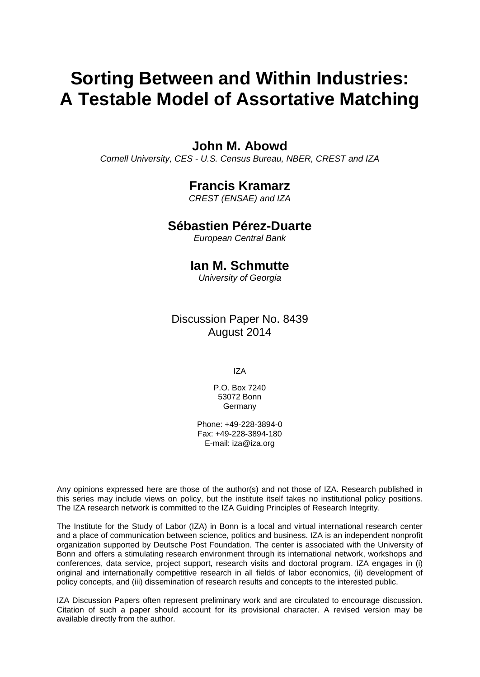# **Sorting Between and Within Industries: A Testable Model of Assortative Matching**

### **John M. Abowd**

*Cornell University, CES - U.S. Census Bureau, NBER, CREST and IZA*

### **Francis Kramarz**

*CREST (ENSAE) and IZA*

### **Sébastien Pérez-Duarte**

*European Central Bank*

### **Ian M. Schmutte**

*University of Georgia*

Discussion Paper No. 8439 August 2014

IZA

P.O. Box 7240 53072 Bonn Germany

Phone: +49-228-3894-0 Fax: +49-228-3894-180 E-mail: [iza@iza.org](mailto:iza@iza.org)

Any opinions expressed here are those of the author(s) and not those of IZA. Research published in this series may include views on policy, but the institute itself takes no institutional policy positions. The IZA research network is committed to the IZA Guiding Principles of Research Integrity.

The Institute for the Study of Labor (IZA) in Bonn is a local and virtual international research center and a place of communication between science, politics and business. IZA is an independent nonprofit organization supported by Deutsche Post Foundation. The center is associated with the University of Bonn and offers a stimulating research environment through its international network, workshops and conferences, data service, project support, research visits and doctoral program. IZA engages in (i) original and internationally competitive research in all fields of labor economics, (ii) development of policy concepts, and (iii) dissemination of research results and concepts to the interested public.

<span id="page-1-0"></span>IZA Discussion Papers often represent preliminary work and are circulated to encourage discussion. Citation of such a paper should account for its provisional character. A revised version may be available directly from the author.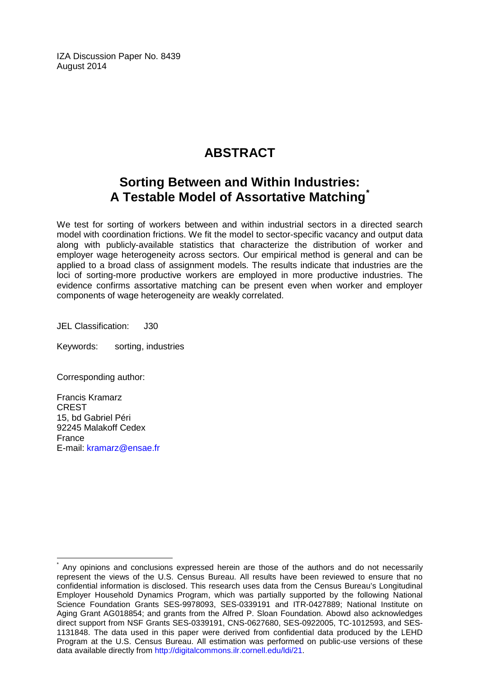IZA Discussion Paper No. 8439 August 2014

### **ABSTRACT**

### **Sorting Between and Within Industries: A Testable Model of Assortative Matching[\\*](#page-1-0)**

We test for sorting of workers between and within industrial sectors in a directed search model with coordination frictions. We fit the model to sector-specific vacancy and output data along with publicly-available statistics that characterize the distribution of worker and employer wage heterogeneity across sectors. Our empirical method is general and can be applied to a broad class of assignment models. The results indicate that industries are the loci of sorting-more productive workers are employed in more productive industries. The evidence confirms assortative matching can be present even when worker and employer components of wage heterogeneity are weakly correlated.

JEL Classification: J30

Keywords: sorting, industries

Corresponding author:

Francis Kramarz **CREST** 15, bd Gabriel Péri 92245 Malakoff Cedex France E-mail: [kramarz@ensae.fr](mailto:kramarz@ensae.fr)

Any opinions and conclusions expressed herein are those of the authors and do not necessarily represent the views of the U.S. Census Bureau. All results have been reviewed to ensure that no confidential information is disclosed. This research uses data from the Census Bureau's Longitudinal Employer Household Dynamics Program, which was partially supported by the following National Science Foundation Grants SES-9978093, SES-0339191 and ITR-0427889; National Institute on Aging Grant AG018854; and grants from the Alfred P. Sloan Foundation. Abowd also acknowledges direct support from NSF Grants SES-0339191, CNS-0627680, SES-0922005, TC-1012593, and SES-1131848. The data used in this paper were derived from confidential data produced by the LEHD Program at the U.S. Census Bureau. All estimation was performed on public-use versions of these data available directly from [http://digitalcommons.ilr.cornell.edu/ldi/21.](http://digitalcommons.ilr.cornell.edu/ldi/21)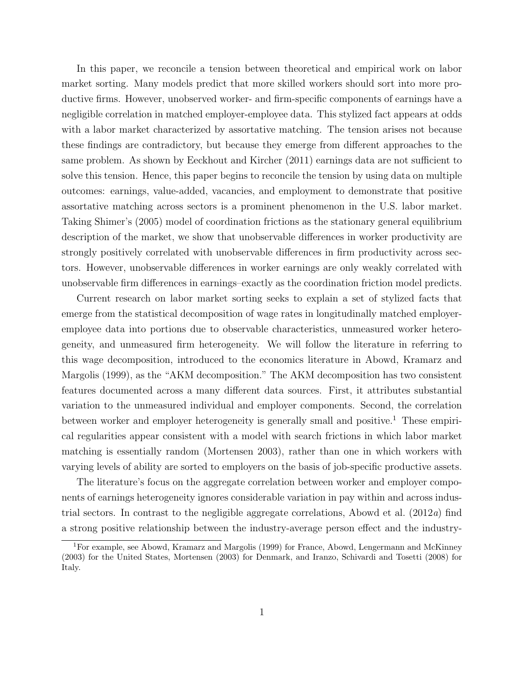In this paper, we reconcile a tension between theoretical and empirical work on labor market sorting. Many models predict that more skilled workers should sort into more productive firms. However, unobserved worker- and firm-specific components of earnings have a negligible correlation in matched employer-employee data. This stylized fact appears at odds with a labor market characterized by assortative matching. The tension arises not because these findings are contradictory, but because they emerge from different approaches to the same problem. As shown by [Eeckhout and Kircher](#page-32-0) [\(2011\)](#page-32-0) earnings data are not sufficient to solve this tension. Hence, this paper begins to reconcile the tension by using data on multiple outcomes: earnings, value-added, vacancies, and employment to demonstrate that positive assortative matching across sectors is a prominent phenomenon in the U.S. labor market. Taking Shimer's (2005) model of coordination frictions as the stationary general equilibrium description of the market, we show that unobservable differences in worker productivity are strongly positively correlated with unobservable differences in firm productivity across sectors. However, unobservable differences in worker earnings are only weakly correlated with unobservable firm differences in earnings–exactly as the coordination friction model predicts.

Current research on labor market sorting seeks to explain a set of stylized facts that emerge from the statistical decomposition of wage rates in longitudinally matched employeremployee data into portions due to observable characteristics, unmeasured worker heterogeneity, and unmeasured firm heterogeneity. We will follow the literature in referring to this wage decomposition, introduced to the economics literature in [Abowd, Kramarz and](#page-32-1) [Margolis](#page-32-1) [\(1999\)](#page-32-1), as the "AKM decomposition." The AKM decomposition has two consistent features documented across a many different data sources. First, it attributes substantial variation to the unmeasured individual and employer components. Second, the correlation between worker and employer heterogeneity is generally small and positive.<sup>[1](#page-3-0)</sup> These empirical regularities appear consistent with a model with search frictions in which labor market matching is essentially random [\(Mortensen](#page-33-0) [2003\)](#page-33-0), rather than one in which workers with varying levels of ability are sorted to employers on the basis of job-specific productive assets.

The literature's focus on the aggregate correlation between worker and employer components of earnings heterogeneity ignores considerable variation in pay within and across industrial sectors. In contrast to the negligible aggregate correlations, [Abowd et al.](#page-31-0) [\(2012](#page-31-0)a) find a strong positive relationship between the industry-average person effect and the industry-

<span id="page-3-0"></span><sup>&</sup>lt;sup>1</sup>For example, see [Abowd, Kramarz and Margolis](#page-32-1) [\(1999\)](#page-32-1) for France, [Abowd, Lengermann and McKinney](#page-32-2) [\(2003\)](#page-32-2) for the United States, [Mortensen](#page-33-0) [\(2003\)](#page-33-0) for Denmark, and [Iranzo, Schivardi and Tosetti](#page-33-1) [\(2008\)](#page-33-1) for Italy.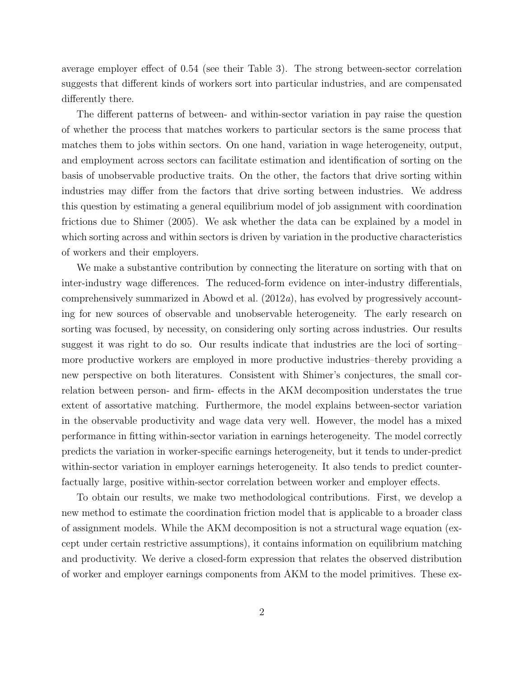average employer effect of 0.54 (see their Table 3). The strong between-sector correlation suggests that different kinds of workers sort into particular industries, and are compensated differently there.

The different patterns of between- and within-sector variation in pay raise the question of whether the process that matches workers to particular sectors is the same process that matches them to jobs within sectors. On one hand, variation in wage heterogeneity, output, and employment across sectors can facilitate estimation and identification of sorting on the basis of unobservable productive traits. On the other, the factors that drive sorting within industries may differ from the factors that drive sorting between industries. We address this question by estimating a general equilibrium model of job assignment with coordination frictions due to [Shimer](#page-33-2) [\(2005\)](#page-33-2). We ask whether the data can be explained by a model in which sorting across and within sectors is driven by variation in the productive characteristics of workers and their employers.

We make a substantive contribution by connecting the literature on sorting with that on inter-industry wage differences. The reduced-form evidence on inter-industry differentials, comprehensively summarized in [Abowd et al.](#page-31-0) [\(2012](#page-31-0)a), has evolved by progressively accounting for new sources of observable and unobservable heterogeneity. The early research on sorting was focused, by necessity, on considering only sorting across industries. Our results suggest it was right to do so. Our results indicate that industries are the loci of sorting– more productive workers are employed in more productive industries–thereby providing a new perspective on both literatures. Consistent with Shimer's conjectures, the small correlation between person- and firm- effects in the AKM decomposition understates the true extent of assortative matching. Furthermore, the model explains between-sector variation in the observable productivity and wage data very well. However, the model has a mixed performance in fitting within-sector variation in earnings heterogeneity. The model correctly predicts the variation in worker-specific earnings heterogeneity, but it tends to under-predict within-sector variation in employer earnings heterogeneity. It also tends to predict counterfactually large, positive within-sector correlation between worker and employer effects.

To obtain our results, we make two methodological contributions. First, we develop a new method to estimate the coordination friction model that is applicable to a broader class of assignment models. While the AKM decomposition is not a structural wage equation (except under certain restrictive assumptions), it contains information on equilibrium matching and productivity. We derive a closed-form expression that relates the observed distribution of worker and employer earnings components from AKM to the model primitives. These ex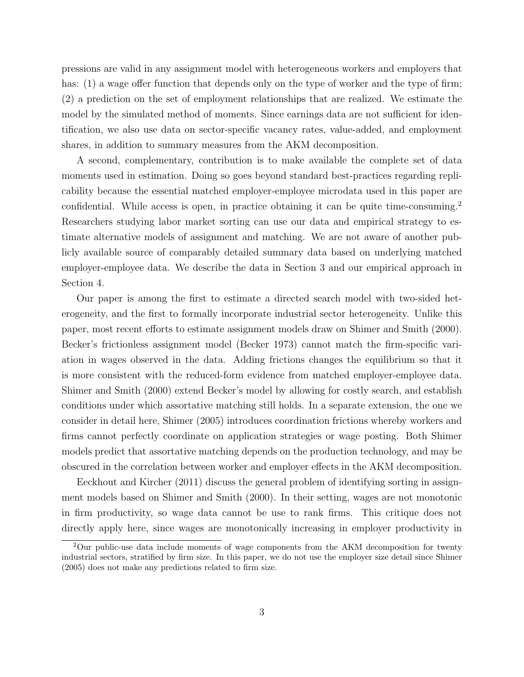pressions are valid in any assignment model with heterogeneous workers and employers that has: (1) a wage offer function that depends only on the type of worker and the type of firm; (2) a prediction on the set of employment relationships that are realized. We estimate the model by the simulated method of moments. Since earnings data are not sufficient for identification, we also use data on sector-specific vacancy rates, value-added, and employment shares, in addition to summary measures from the AKM decomposition.

A second, complementary, contribution is to make available the complete set of data moments used in estimation. Doing so goes beyond standard best-practices regarding replicability because the essential matched employer-employee microdata used in this paper are confidential. While access is open, in practice obtaining it can be quite time-consuming.<sup>[2](#page-5-0)</sup> Researchers studying labor market sorting can use our data and empirical strategy to estimate alternative models of assignment and matching. We are not aware of another publicly available source of comparably detailed summary data based on underlying matched employer-employee data. We describe the data in Section [3](#page-14-0) and our empirical approach in Section [4.](#page-17-0)

Our paper is among the first to estimate a directed search model with two-sided heterogeneity, and the first to formally incorporate industrial sector heterogeneity. Unlike this paper, most recent efforts to estimate assignment models draw on [Shimer and Smith](#page-33-3) [\(2000\)](#page-33-3). Becker's frictionless assignment model [\(Becker](#page-32-3) [1973\)](#page-32-3) cannot match the firm-specific variation in wages observed in the data. Adding frictions changes the equilibrium so that it is more consistent with the reduced-form evidence from matched employer-employee data. [Shimer and Smith](#page-33-3) [\(2000\)](#page-33-3) extend Becker's model by allowing for costly search, and establish conditions under which assortative matching still holds. In a separate extension, the one we consider in detail here, [Shimer](#page-33-2) [\(2005\)](#page-33-2) introduces coordination frictions whereby workers and firms cannot perfectly coordinate on application strategies or wage posting. Both Shimer models predict that assortative matching depends on the production technology, and may be obscured in the correlation between worker and employer effects in the AKM decomposition.

[Eeckhout and Kircher](#page-32-0) [\(2011\)](#page-32-0) discuss the general problem of identifying sorting in assignment models based on [Shimer and Smith](#page-33-3) [\(2000\)](#page-33-3). In their setting, wages are not monotonic in firm productivity, so wage data cannot be use to rank firms. This critique does not directly apply here, since wages are monotonically increasing in employer productivity in

<span id="page-5-0"></span><sup>2</sup>Our public-use data include moments of wage components from the AKM decomposition for twenty industrial sectors, stratified by firm size. In this paper, we do not use the employer size detail since [Shimer](#page-33-2) [\(2005\)](#page-33-2) does not make any predictions related to firm size.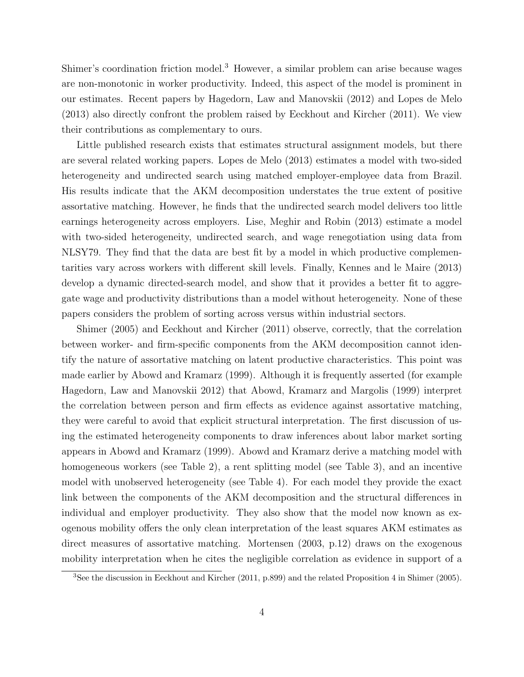Shimer's coordination friction model.[3](#page-6-0) However, a similar problem can arise because wages are non-monotonic in worker productivity. Indeed, this aspect of the model is prominent in our estimates. Recent papers by [Hagedorn, Law and Manovskii](#page-33-4) [\(2012\)](#page-33-4) and [Lopes de Melo](#page-33-5) [\(2013\)](#page-33-5) also directly confront the problem raised by [Eeckhout and Kircher](#page-32-0) [\(2011\)](#page-32-0). We view their contributions as complementary to ours.

Little published research exists that estimates structural assignment models, but there are several related working papers. [Lopes de Melo](#page-33-5) [\(2013\)](#page-33-5) estimates a model with two-sided heterogeneity and undirected search using matched employer-employee data from Brazil. His results indicate that the AKM decomposition understates the true extent of positive assortative matching. However, he finds that the undirected search model delivers too little earnings heterogeneity across employers. [Lise, Meghir and Robin](#page-33-6) [\(2013\)](#page-33-6) estimate a model with two-sided heterogeneity, undirected search, and wage renegotiation using data from NLSY79. They find that the data are best fit by a model in which productive complementarities vary across workers with different skill levels. Finally, [Kennes and le Maire](#page-33-7) [\(2013\)](#page-33-7) develop a dynamic directed-search model, and show that it provides a better fit to aggregate wage and productivity distributions than a model without heterogeneity. None of these papers considers the problem of sorting across versus within industrial sectors.

[Shimer](#page-33-2) [\(2005\)](#page-33-2) and [Eeckhout and Kircher](#page-32-0) [\(2011\)](#page-32-0) observe, correctly, that the correlation between worker- and firm-specific components from the AKM decomposition cannot identify the nature of assortative matching on latent productive characteristics. This point was made earlier by [Abowd and Kramarz](#page-31-1) [\(1999\)](#page-31-1). Although it is frequently asserted (for example [Hagedorn, Law and Manovskii](#page-33-4) [2012\)](#page-33-4) that [Abowd, Kramarz and Margolis](#page-32-1) [\(1999\)](#page-32-1) interpret the correlation between person and firm effects as evidence against assortative matching, they were careful to avoid that explicit structural interpretation. The first discussion of using the estimated heterogeneity components to draw inferences about labor market sorting appears in [Abowd and Kramarz](#page-31-1) [\(1999\)](#page-31-1). Abowd and Kramarz derive a matching model with homogeneous workers (see Table 2), a rent splitting model (see Table 3), and an incentive model with unobserved heterogeneity (see Table 4). For each model they provide the exact link between the components of the AKM decomposition and the structural differences in individual and employer productivity. They also show that the model now known as exogenous mobility offers the only clean interpretation of the least squares AKM estimates as direct measures of assortative matching. [Mortensen](#page-33-0) [\(2003,](#page-33-0) p.12) draws on the exogenous mobility interpretation when he cites the negligible correlation as evidence in support of a

<span id="page-6-0"></span><sup>3</sup>See the discussion in [Eeckhout and Kircher](#page-32-0) [\(2011,](#page-32-0) p.899) and the related Proposition 4 in [Shimer](#page-33-2) [\(2005\)](#page-33-2).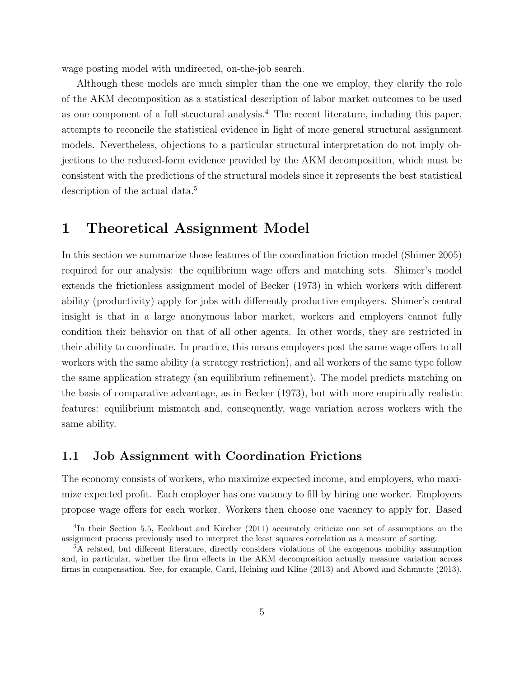wage posting model with undirected, on-the-job search.

Although these models are much simpler than the one we employ, they clarify the role of the AKM decomposition as a statistical description of labor market outcomes to be used as one component of a full structural analysis.<sup>[4](#page-7-0)</sup> The recent literature, including this paper, attempts to reconcile the statistical evidence in light of more general structural assignment models. Nevertheless, objections to a particular structural interpretation do not imply objections to the reduced-form evidence provided by the AKM decomposition, which must be consistent with the predictions of the structural models since it represents the best statistical description of the actual data.<sup>[5](#page-7-1)</sup>

### <span id="page-7-2"></span>1 Theoretical Assignment Model

In this section we summarize those features of the coordination friction model [\(Shimer](#page-33-2) [2005\)](#page-33-2) required for our analysis: the equilibrium wage offers and matching sets. Shimer's model extends the frictionless assignment model of [Becker](#page-32-3) [\(1973\)](#page-32-3) in which workers with different ability (productivity) apply for jobs with differently productive employers. Shimer's central insight is that in a large anonymous labor market, workers and employers cannot fully condition their behavior on that of all other agents. In other words, they are restricted in their ability to coordinate. In practice, this means employers post the same wage offers to all workers with the same ability (a strategy restriction), and all workers of the same type follow the same application strategy (an equilibrium refinement). The model predicts matching on the basis of comparative advantage, as in [Becker](#page-32-3) [\(1973\)](#page-32-3), but with more empirically realistic features: equilibrium mismatch and, consequently, wage variation across workers with the same ability.

#### 1.1 Job Assignment with Coordination Frictions

The economy consists of workers, who maximize expected income, and employers, who maximize expected profit. Each employer has one vacancy to fill by hiring one worker. Employers propose wage offers for each worker. Workers then choose one vacancy to apply for. Based

<span id="page-7-0"></span><sup>&</sup>lt;sup>4</sup>In their Section 5.5, [Eeckhout and Kircher](#page-32-0) [\(2011\)](#page-32-0) accurately criticize one set of assumptions on the assignment process previously used to interpret the least squares correlation as a measure of sorting.

<span id="page-7-1"></span><sup>5</sup>A related, but different literature, directly considers violations of the exogenous mobility assumption and, in particular, whether the firm effects in the AKM decomposition actually measure variation across firms in compensation. See, for example, [Card, Heining and Kline](#page-32-4) [\(2013\)](#page-32-4) and [Abowd and Schmutte](#page-32-5) [\(2013\)](#page-32-5).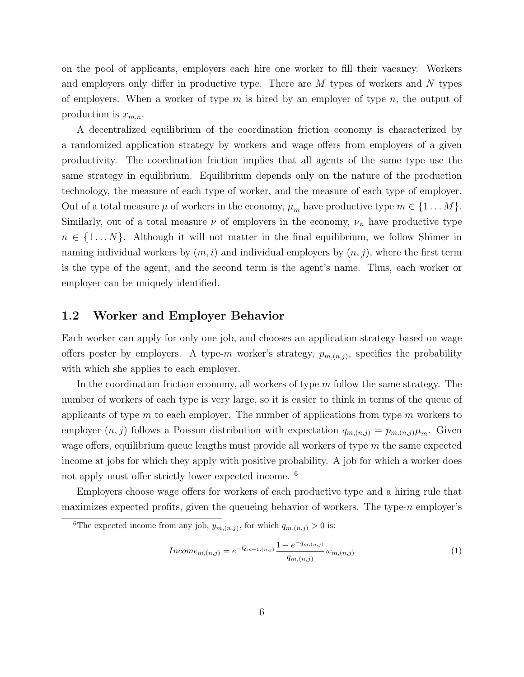on the pool of applicants, employers each hire one worker to fill their vacancy. Workers and employers only differ in productive type. There are  $M$  types of workers and  $N$  types of employers. When a worker of type  $m$  is hired by an employer of type  $n$ , the output of production is  $x_{m,n}$ .

A decentralized equilibrium of the coordination friction economy is characterized by a randomized application strategy by workers and wage offers from employers of a given productivity. The coordination friction implies that all agents of the same type use the same strategy in equilibrium. Equilibrium depends only on the nature of the production technology, the measure of each type of worker, and the measure of each type of employer. Out of a total measure  $\mu$  of workers in the economy,  $\mu_m$  have productive type  $m \in \{1 \dots M\}$ . Similarly, out of a total measure  $\nu$  of employers in the economy,  $\nu_n$  have productive type  $n \in \{1...N\}$ . Although it will not matter in the final equilibrium, we follow Shimer in naming individual workers by  $(m, i)$  and individual employers by  $(n, j)$ , where the first term is the type of the agent, and the second term is the agent's name. Thus, each worker or employer can be uniquely identified.

### 1.2 Worker and Employer Behavior

Each worker can apply for only one job, and chooses an application strategy based on wage offers poster by employers. A type-m worker's strategy,  $p_{m,(n,j)}$ , specifies the probability with which she applies to each employer.

In the coordination friction economy, all workers of type  $m$  follow the same strategy. The number of workers of each type is very large, so it is easier to think in terms of the queue of applicants of type  $m$  to each employer. The number of applications from type  $m$  workers to employer  $(n, j)$  follows a Poisson distribution with expectation  $q_{m,(n,j)} = p_{m,(n,j)}\mu_m$ . Given wage offers, equilibrium queue lengths must provide all workers of type  $m$  the same expected income at jobs for which they apply with positive probability. A job for which a worker does not apply must offer strictly lower expected income. [6](#page-8-0)

Employers choose wage offers for workers of each productive type and a hiring rule that maximizes expected profits, given the queueing behavior of workers. The type-n employer's

<span id="page-8-1"></span>
$$
Income_{m,(n,j)} = e^{-Q_{m+1,(n,j)}} \frac{1 - e^{-q_{m,(n,j)}}}{q_{m,(n,j)}} w_{m,(n,j)}
$$
(1)

<span id="page-8-0"></span><sup>&</sup>lt;sup>6</sup>The expected income from any job,  $y_{m,(n,j)}$ , for which  $q_{m,(n,j)} > 0$  is: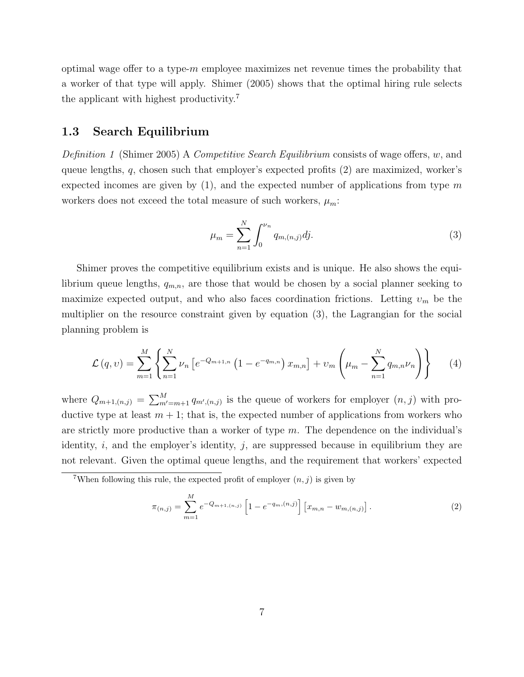optimal wage offer to a type- $m$  employee maximizes net revenue times the probability that a worker of that type will apply. [Shimer](#page-33-2) [\(2005\)](#page-33-2) shows that the optimal hiring rule selects the applicant with highest productivity.[7](#page-9-0)

### 1.3 Search Equilibrium

Definition 1 [\(Shimer](#page-33-2) [2005\)](#page-33-2) A Competitive Search Equilibrium consists of wage offers, w, and queue lengths,  $q$ , chosen such that employer's expected profits  $(2)$  are maximized, worker's expected incomes are given by  $(1)$ , and the expected number of applications from type m workers does not exceed the total measure of such workers,  $\mu_m$ :

<span id="page-9-2"></span>
$$
\mu_m = \sum_{n=1}^{N} \int_0^{\nu_n} q_{m,(n,j)} dj.
$$
\n(3)

Shimer proves the competitive equilibrium exists and is unique. He also shows the equilibrium queue lengths,  $q_{m,n}$ , are those that would be chosen by a social planner seeking to maximize expected output, and who also faces coordination frictions. Letting  $v_m$  be the multiplier on the resource constraint given by equation [\(3\)](#page-9-2), the Lagrangian for the social planning problem is

<span id="page-9-3"></span>
$$
\mathcal{L}(q, v) = \sum_{m=1}^{M} \left\{ \sum_{n=1}^{N} \nu_n \left[ e^{-Q_{m+1,n}} \left( 1 - e^{-q_{m,n}} \right) x_{m,n} \right] + v_m \left( \mu_m - \sum_{n=1}^{N} q_{m,n} \nu_n \right) \right\} \tag{4}
$$

where  $Q_{m+1,(n,j)} = \sum_{m'=m+1}^{M} q_{m',(n,j)}$  is the queue of workers for employer  $(n, j)$  with productive type at least  $m + 1$ ; that is, the expected number of applications from workers who are strictly more productive than a worker of type  $m$ . The dependence on the individual's identity,  $i$ , and the employer's identity,  $j$ , are suppressed because in equilibrium they are not relevant. Given the optimal queue lengths, and the requirement that workers' expected

<span id="page-9-1"></span>
$$
\pi_{(n,j)} = \sum_{m=1}^{M} e^{-Q_{m+1,(n,j)}} \left[ 1 - e^{-q_m,(n,j)} \right] \left[ x_{m,n} - w_{m,(n,j)} \right]. \tag{2}
$$

<span id="page-9-0"></span><sup>&</sup>lt;sup>7</sup>When following this rule, the expected profit of employer  $(n, j)$  is given by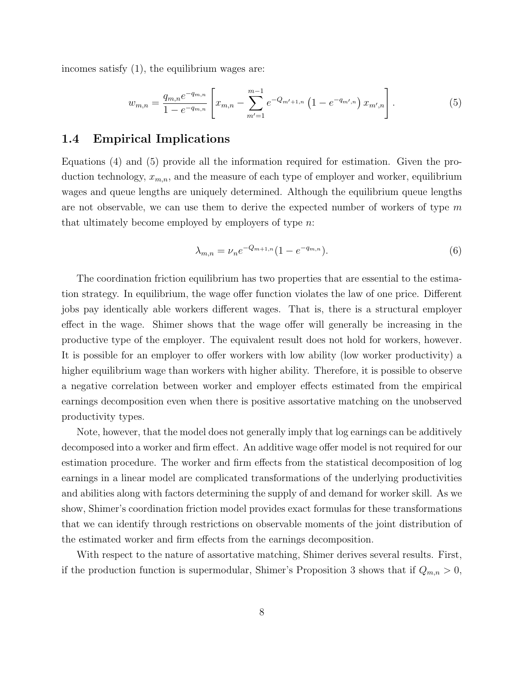incomes satisfy [\(1\)](#page-8-1), the equilibrium wages are:

<span id="page-10-0"></span>
$$
w_{m,n} = \frac{q_{m,n}e^{-q_{m,n}}}{1 - e^{-q_{m,n}}}\left[x_{m,n} - \sum_{m'=1}^{m-1} e^{-Q_{m'+1,n}}\left(1 - e^{-q_{m',n}}\right)x_{m',n}\right].
$$
\n(5)

#### 1.4 Empirical Implications

Equations [\(4\)](#page-9-3) and [\(5\)](#page-10-0) provide all the information required for estimation. Given the production technology,  $x_{m,n}$ , and the measure of each type of employer and worker, equilibrium wages and queue lengths are uniquely determined. Although the equilibrium queue lengths are not observable, we can use them to derive the expected number of workers of type m that ultimately become employed by employers of type n:

$$
\lambda_{m,n} = \nu_n e^{-Q_{m+1,n}} (1 - e^{-q_{m,n}}). \tag{6}
$$

The coordination friction equilibrium has two properties that are essential to the estimation strategy. In equilibrium, the wage offer function violates the law of one price. Different jobs pay identically able workers different wages. That is, there is a structural employer effect in the wage. Shimer shows that the wage offer will generally be increasing in the productive type of the employer. The equivalent result does not hold for workers, however. It is possible for an employer to offer workers with low ability (low worker productivity) a higher equilibrium wage than workers with higher ability. Therefore, it is possible to observe a negative correlation between worker and employer effects estimated from the empirical earnings decomposition even when there is positive assortative matching on the unobserved productivity types.

Note, however, that the model does not generally imply that log earnings can be additively decomposed into a worker and firm effect. An additive wage offer model is not required for our estimation procedure. The worker and firm effects from the statistical decomposition of log earnings in a linear model are complicated transformations of the underlying productivities and abilities along with factors determining the supply of and demand for worker skill. As we show, Shimer's coordination friction model provides exact formulas for these transformations that we can identify through restrictions on observable moments of the joint distribution of the estimated worker and firm effects from the earnings decomposition.

With respect to the nature of assortative matching, Shimer derives several results. First, if the production function is supermodular, Shimer's Proposition 3 shows that if  $Q_{m,n} > 0$ ,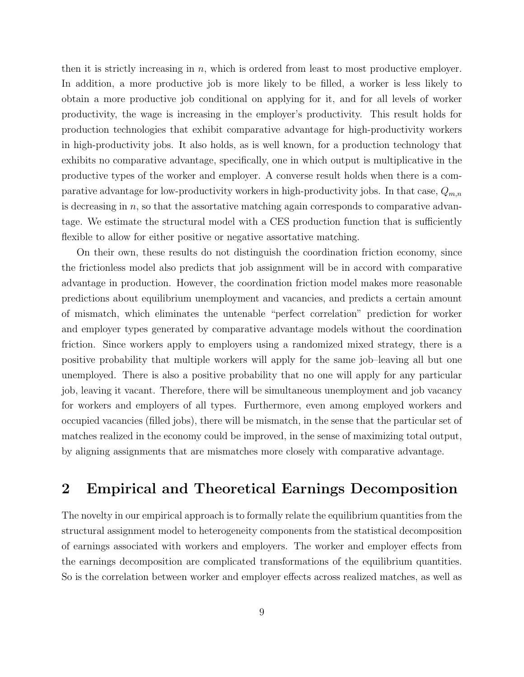then it is strictly increasing in  $n$ , which is ordered from least to most productive employer. In addition, a more productive job is more likely to be filled, a worker is less likely to obtain a more productive job conditional on applying for it, and for all levels of worker productivity, the wage is increasing in the employer's productivity. This result holds for production technologies that exhibit comparative advantage for high-productivity workers in high-productivity jobs. It also holds, as is well known, for a production technology that exhibits no comparative advantage, specifically, one in which output is multiplicative in the productive types of the worker and employer. A converse result holds when there is a comparative advantage for low-productivity workers in high-productivity jobs. In that case,  $Q_{m,n}$ is decreasing in  $n$ , so that the assortative matching again corresponds to comparative advantage. We estimate the structural model with a CES production function that is sufficiently flexible to allow for either positive or negative assortative matching.

On their own, these results do not distinguish the coordination friction economy, since the frictionless model also predicts that job assignment will be in accord with comparative advantage in production. However, the coordination friction model makes more reasonable predictions about equilibrium unemployment and vacancies, and predicts a certain amount of mismatch, which eliminates the untenable "perfect correlation" prediction for worker and employer types generated by comparative advantage models without the coordination friction. Since workers apply to employers using a randomized mixed strategy, there is a positive probability that multiple workers will apply for the same job–leaving all but one unemployed. There is also a positive probability that no one will apply for any particular job, leaving it vacant. Therefore, there will be simultaneous unemployment and job vacancy for workers and employers of all types. Furthermore, even among employed workers and occupied vacancies (filled jobs), there will be mismatch, in the sense that the particular set of matches realized in the economy could be improved, in the sense of maximizing total output, by aligning assignments that are mismatches more closely with comparative advantage.

### 2 Empirical and Theoretical Earnings Decomposition

The novelty in our empirical approach is to formally relate the equilibrium quantities from the structural assignment model to heterogeneity components from the statistical decomposition of earnings associated with workers and employers. The worker and employer effects from the earnings decomposition are complicated transformations of the equilibrium quantities. So is the correlation between worker and employer effects across realized matches, as well as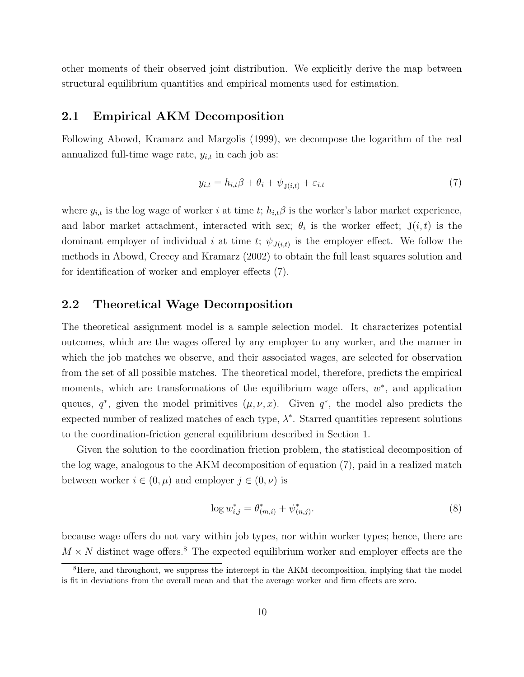other moments of their observed joint distribution. We explicitly derive the map between structural equilibrium quantities and empirical moments used for estimation.

### 2.1 Empirical AKM Decomposition

Following [Abowd, Kramarz and Margolis](#page-32-1) [\(1999\)](#page-32-1), we decompose the logarithm of the real annualized full-time wage rate,  $y_{i,t}$  in each job as:

<span id="page-12-0"></span>
$$
y_{i,t} = h_{i,t}\beta + \theta_i + \psi_{J(i,t)} + \varepsilon_{i,t}
$$
\n<sup>(7)</sup>

where  $y_{i,t}$  is the log wage of worker i at time t;  $h_{i,t}\beta$  is the worker's labor market experience, and labor market attachment, interacted with sex;  $\theta_i$  is the worker effect;  $J(i, t)$  is the dominant employer of individual i at time t;  $\psi_{J(i,t)}$  is the employer effect. We follow the methods in [Abowd, Creecy and Kramarz](#page-32-6) [\(2002\)](#page-32-6) to obtain the full least squares solution and for identification of worker and employer effects [\(7\)](#page-12-0).

### <span id="page-12-2"></span>2.2 Theoretical Wage Decomposition

The theoretical assignment model is a sample selection model. It characterizes potential outcomes, which are the wages offered by any employer to any worker, and the manner in which the job matches we observe, and their associated wages, are selected for observation from the set of all possible matches. The theoretical model, therefore, predicts the empirical moments, which are transformations of the equilibrium wage offers,  $w^*$ , and application queues,  $q^*$ , given the model primitives  $(\mu, \nu, x)$ . Given  $q^*$ , the model also predicts the expected number of realized matches of each type,  $\lambda^*$ . Starred quantities represent solutions to the coordination-friction general equilibrium described in Section [1.](#page-7-2)

Given the solution to the coordination friction problem, the statistical decomposition of the log wage, analogous to the AKM decomposition of equation [\(7\)](#page-12-0), paid in a realized match between worker  $i \in (0, \mu)$  and employer  $j \in (0, \nu)$  is

$$
\log w_{i,j}^* = \theta_{(m,i)}^* + \psi_{(n,j)}^*.
$$
\n(8)

because wage offers do not vary within job types, nor within worker types; hence, there are  $M \times N$  distinct wage offers.<sup>[8](#page-12-1)</sup> The expected equilibrium worker and employer effects are the

<span id="page-12-1"></span><sup>&</sup>lt;sup>8</sup>Here, and throughout, we suppress the intercept in the AKM decomposition, implying that the model is fit in deviations from the overall mean and that the average worker and firm effects are zero.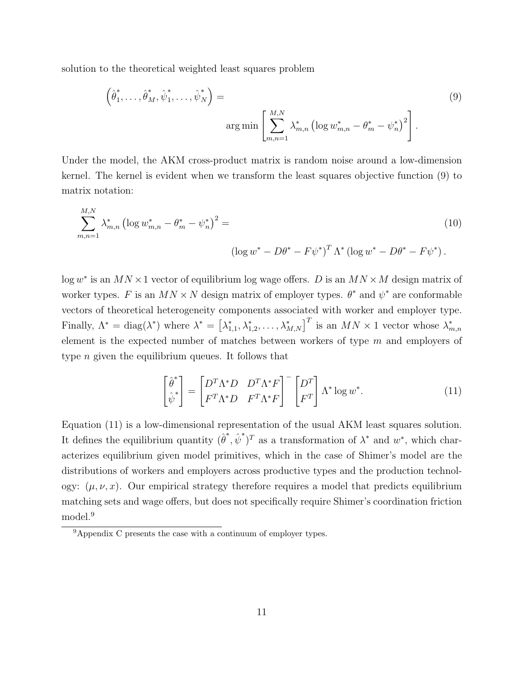solution to the theoretical weighted least squares problem

<span id="page-13-0"></span>
$$
\left(\hat{\theta}_1^*, \dots, \hat{\theta}_M^*, \hat{\psi}_1^*, \dots, \hat{\psi}_N^*\right) = \arg \min \left[\sum_{m,n=1}^{M,N} \lambda_{m,n}^* \left(\log w_{m,n}^* - \theta_m^* - \psi_n^*\right)^2\right].
$$
\n(9)

Under the model, the AKM cross-product matrix is random noise around a low-dimension kernel. The kernel is evident when we transform the least squares objective function [\(9\)](#page-13-0) to matrix notation:

$$
\sum_{m,n=1}^{M,N} \lambda_{m,n}^* \left( \log w_{m,n}^* - \theta_m^* - \psi_n^* \right)^2 =
$$
\n
$$
\left( \log w^* - D\theta^* - F\psi^* \right)^T \Lambda^* \left( \log w^* - D\theta^* - F\psi^* \right).
$$
\n(10)

 $log w^*$  is an  $MN \times 1$  vector of equilibrium log wage offers. D is an  $MN \times M$  design matrix of worker types. F is an  $MN \times N$  design matrix of employer types.  $\theta^*$  and  $\psi^*$  are conformable vectors of theoretical heterogeneity components associated with worker and employer type. Finally,  $\Lambda^* = \text{diag}(\lambda^*)$  where  $\lambda^* = [\lambda_1^*$  $\left[1,1, \lambda_{1,2}^*, \ldots, \lambda_{M,N}^*\right]^T$  is an  $MN \times 1$  vector whose  $\lambda_n^*$  $m,n$ element is the expected number of matches between workers of type m and employers of type n given the equilibrium queues. It follows that

<span id="page-13-1"></span>
$$
\begin{bmatrix} \hat{\theta}^* \\ \hat{\psi}^* \end{bmatrix} = \begin{bmatrix} D^T \Lambda^* D & D^T \Lambda^* F \\ F^T \Lambda^* D & F^T \Lambda^* F \end{bmatrix}^{-1} \begin{bmatrix} D^T \\ F^T \end{bmatrix} \Lambda^* \log w^*.
$$
 (11)

Equation [\(11\)](#page-13-1) is a low-dimensional representation of the usual AKM least squares solution. It defines the equilibrium quantity  $(\hat{\theta}^*, \hat{\psi}^*)^T$  as a transformation of  $\lambda^*$  and  $w^*$ , which characterizes equilibrium given model primitives, which in the case of Shimer's model are the distributions of workers and employers across productive types and the production technology:  $(\mu, \nu, x)$ . Our empirical strategy therefore requires a model that predicts equilibrium matching sets and wage offers, but does not specifically require Shimer's coordination friction model.[9](#page-13-2)

<span id="page-13-2"></span><sup>9</sup>Appendix [C](#page-48-0) presents the case with a continuum of employer types.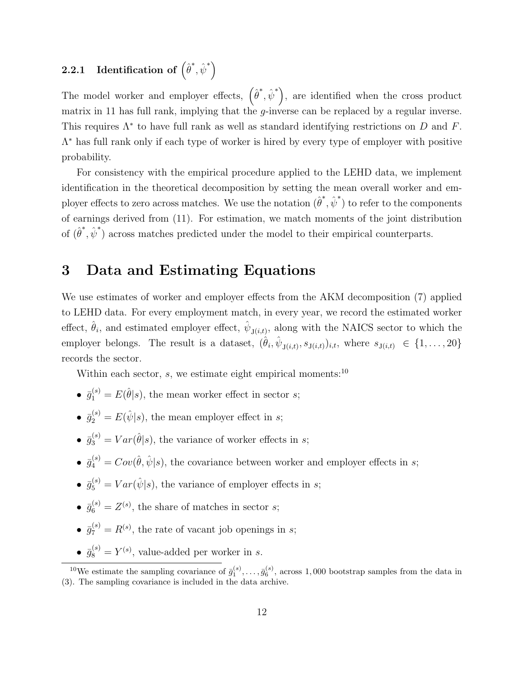## 2.2.1 Identification of  $\left(\hat{\theta}^*, \hat{\psi}^*\right)$

The model worker and employer effects,  $(\hat{\theta}^*, \hat{\psi}^*)$ , are identified when the cross product matrix in [11](#page-13-1) has full rank, implying that the g-inverse can be replaced by a regular inverse. This requires  $\Lambda^*$  to have full rank as well as standard identifying restrictions on D and F. Λ <sup>∗</sup> has full rank only if each type of worker is hired by every type of employer with positive probability.

For consistency with the empirical procedure applied to the LEHD data, we implement identification in the theoretical decomposition by setting the mean overall worker and employer effects to zero across matches. We use the notation  $(\hat{\theta}^*, \hat{\psi}^*)$  to refer to the components of earnings derived from [\(11\)](#page-13-1). For estimation, we match moments of the joint distribution of  $(\hat{\theta}^*, \hat{\psi}^*)$  across matches predicted under the model to their empirical counterparts.

### <span id="page-14-0"></span>3 Data and Estimating Equations

We use estimates of worker and employer effects from the AKM decomposition [\(7\)](#page-12-0) applied to LEHD data. For every employment match, in every year, we record the estimated worker effect,  $\hat{\theta}_i$ , and estimated employer effect,  $\hat{\psi}_{J(i,t)}$ , along with the NAICS sector to which the employer belongs. The result is a dataset,  $(\hat{\theta}_i, \hat{\psi}_{J(i,t)}, s_{J(i,t)})_{i,t}$ , where  $s_{J(i,t)} \in \{1, \ldots, 20\}$ records the sector.

Within each sector, s, we estimate eight empirical moments:  $10$ 

- $\bar{g}_1^{(s)} = E(\hat{\theta}|s)$ , the mean worker effect in sector s;
- $\bar{g}_2^{(s)} = E(\hat{\psi}|s)$ , the mean employer effect in s;
- $\bar{g}_3^{(s)} = Var(\hat{\theta}|s)$ , the variance of worker effects in s;
- $\bar{g}_4^{(s)} = Cov(\hat{\theta}, \hat{\psi}|s)$ , the covariance between worker and employer effects in s;
- $\bar{g}_5^{(s)} = Var(\hat{\psi}|s)$ , the variance of employer effects in s;
- $\bar{g}_6^{(s)} = Z^{(s)}$ , the share of matches in sector s;
- $\bar{g}_7^{(s)} = R^{(s)}$ , the rate of vacant job openings in s;
- $\bar{g}_8^{(s)} = Y^{(s)}$ , value-added per worker in s.

<span id="page-14-1"></span><sup>&</sup>lt;sup>10</sup>We estimate the sampling covariance of  $\bar{g}_1^{(s)}, \ldots, \bar{g}_6^{(s)}$ , across 1,000 bootstrap samples from the data in [\(3\)](#page-14-0). The sampling covariance is included in the data archive.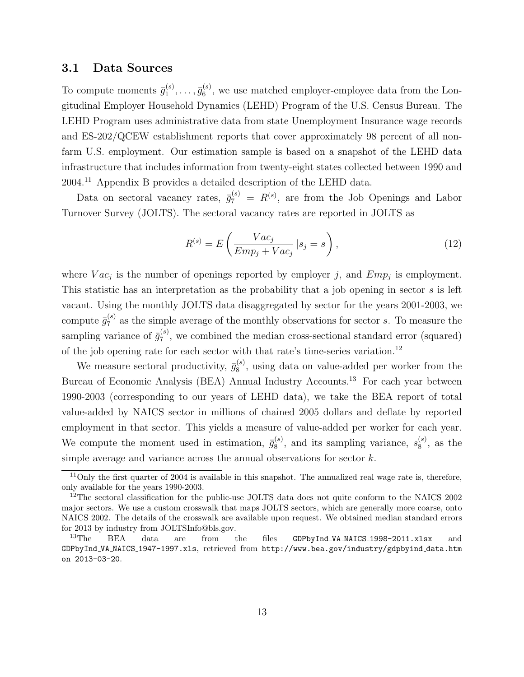#### 3.1 Data Sources

To compute moments  $\bar{g}_1^{(s)}$  $\bar{g}^{(s)}_1,\ldots,\bar{g}^{(s)}_6$  $_{6}^{\text{\tiny (8)}}$ , we use matched employer-employee data from the Longitudinal Employer Household Dynamics (LEHD) Program of the U.S. Census Bureau. The LEHD Program uses administrative data from state Unemployment Insurance wage records and ES-202/QCEW establishment reports that cover approximately 98 percent of all nonfarm U.S. employment. Our estimation sample is based on a snapshot of the LEHD data infrastructure that includes information from twenty-eight states collected between 1990 and 2004.[11](#page-15-0) Appendix [B](#page-46-0) provides a detailed description of the LEHD data.

Data on sectoral vacancy rates,  $\bar{g}_7^{(s)} = R^{(s)}$ , are from the Job Openings and Labor Turnover Survey (JOLTS). The sectoral vacancy rates are reported in JOLTS as

<span id="page-15-3"></span>
$$
R^{(s)} = E\left(\frac{Vac_j}{Emp_j + Vac_j} \, | s_j = s\right),\tag{12}
$$

where  $Vac_j$  is the number of openings reported by employer j, and  $Emp_j$  is employment. This statistic has an interpretation as the probability that a job opening in sector s is left vacant. Using the monthly JOLTS data disaggregated by sector for the years 2001-2003, we compute  $\bar{g}_7^{(s)}$  $\frac{1}{7}$  as the simple average of the monthly observations for sector s. To measure the sampling variance of  $\bar{g}_7^{(s)}$  $_{7}^{(s)}$ , we combined the median cross-sectional standard error (squared) of the job opening rate for each sector with that rate's time-series variation.[12](#page-15-1)

We measure sectoral productivity,  $\bar{g}_8^{(s)}$  $\binom{8}{8}$ , using data on value-added per worker from the Bureau of Economic Analysis (BEA) Annual Industry Accounts.<sup>[13](#page-15-2)</sup> For each year between 1990-2003 (corresponding to our years of LEHD data), we take the BEA report of total value-added by NAICS sector in millions of chained 2005 dollars and deflate by reported employment in that sector. This yields a measure of value-added per worker for each year. We compute the moment used in estimation,  $\bar{g}_8^{(s)}$  $s_8^{(s)}$ , and its sampling variance,  $s_8^{(s)}$  $_8^{(s)}$ , as the simple average and variance across the annual observations for sector  $k$ .

<span id="page-15-0"></span><sup>11</sup>Only the first quarter of 2004 is available in this snapshot. The annualized real wage rate is, therefore, only available for the years 1990-2003.

<span id="page-15-1"></span><sup>&</sup>lt;sup>12</sup>The sectoral classification for the public-use JOLTS data does not quite conform to the NAICS 2002 major sectors. We use a custom crosswalk that maps JOLTS sectors, which are generally more coarse, onto NAICS 2002. The details of the crosswalk are available upon request. We obtained median standard errors for 2013 by industry from JOLTSInfo@bls.gov.

<span id="page-15-2"></span><sup>&</sup>lt;sup>13</sup>The BEA data are from the files GDPbyInd\_VA\_NAICS\_1998-2011.xlsx and GDPbyInd VA NAICS 1947-1997.xls, retrieved from [http://www.bea.gov/industry/gdpbyind](http://www.bea.gov/industry/gdpbyind_data.htm) data.htm [on 2013-03-20](http://www.bea.gov/industry/gdpbyind_data.htm).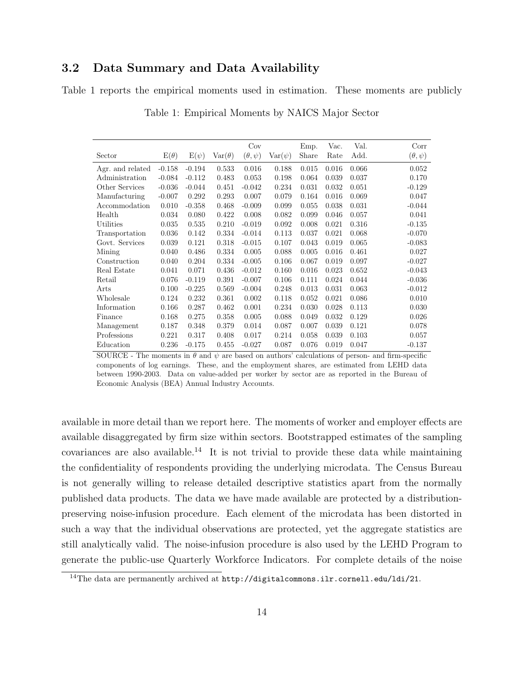### 3.2 Data Summary and Data Availability

<span id="page-16-0"></span>Table [1](#page-16-0) reports the empirical moments used in estimation. These moments are publicly

|                  |             |           |               | Cov              |             | Emp.  | Vac.  | Val.  | Corr            |
|------------------|-------------|-----------|---------------|------------------|-------------|-------|-------|-------|-----------------|
| Sector           | $E(\theta)$ | $E(\psi)$ | $Var(\theta)$ | $(\theta, \psi)$ | $Var(\psi)$ | Share | Rate  | Add.  | $(\theta,\psi)$ |
| Agr. and related | $-0.158$    | $-0.194$  | 0.533         | 0.016            | 0.188       | 0.015 | 0.016 | 0.066 | 0.052           |
| Administration   | $-0.084$    | $-0.112$  | 0.483         | 0.053            | 0.198       | 0.064 | 0.039 | 0.037 | 0.170           |
| Other Services   | $-0.036$    | $-0.044$  | 0.451         | $-0.042$         | 0.234       | 0.031 | 0.032 | 0.051 | $-0.129$        |
| Manufacturing    | $-0.007$    | 0.292     | 0.293         | 0.007            | 0.079       | 0.164 | 0.016 | 0.069 | 0.047           |
| Accommodation    | 0.010       | $-0.358$  | 0.468         | $-0.009$         | 0.099       | 0.055 | 0.038 | 0.031 | $-0.044$        |
| Health           | 0.034       | 0.080     | 0.422         | 0.008            | 0.082       | 0.099 | 0.046 | 0.057 | 0.041           |
| Utilities        | 0.035       | 0.535     | 0.210         | $-0.019$         | 0.092       | 0.008 | 0.021 | 0.316 | $-0.135$        |
| Transportation   | 0.036       | 0.142     | 0.334         | $-0.014$         | 0.113       | 0.037 | 0.021 | 0.068 | $-0.070$        |
| Govt. Services   | 0.039       | 0.121     | 0.318         | $-0.015$         | 0.107       | 0.043 | 0.019 | 0.065 | $-0.083$        |
| Mining           | 0.040       | 0.486     | 0.334         | 0.005            | 0.088       | 0.005 | 0.016 | 0.461 | 0.027           |
| Construction     | 0.040       | 0.204     | 0.334         | $-0.005$         | 0.106       | 0.067 | 0.019 | 0.097 | $-0.027$        |
| Real Estate      | 0.041       | 0.071     | 0.436         | $-0.012$         | 0.160       | 0.016 | 0.023 | 0.652 | $-0.043$        |
| Retail           | 0.076       | $-0.119$  | 0.391         | $-0.007$         | 0.106       | 0.111 | 0.024 | 0.044 | $-0.036$        |
| Arts             | 0.100       | $-0.225$  | 0.569         | $-0.004$         | 0.248       | 0.013 | 0.031 | 0.063 | $-0.012$        |
| Wholesale        | 0.124       | 0.232     | 0.361         | 0.002            | 0.118       | 0.052 | 0.021 | 0.086 | 0.010           |
| Information      | 0.166       | 0.287     | 0.462         | 0.001            | 0.234       | 0.030 | 0.028 | 0.113 | 0.030           |
| Finance          | 0.168       | 0.275     | 0.358         | 0.005            | 0.088       | 0.049 | 0.032 | 0.129 | 0.026           |
| Management       | 0.187       | 0.348     | 0.379         | 0.014            | 0.087       | 0.007 | 0.039 | 0.121 | 0.078           |
| Professions      | 0.221       | 0.317     | 0.408         | 0.017            | 0.214       | 0.058 | 0.039 | 0.103 | 0.057           |
| Education        | 0.236       | $-0.175$  | 0.455         | $-0.027$         | 0.087       | 0.076 | 0.019 | 0.047 | $-0.137$        |

Table 1: Empirical Moments by NAICS Major Sector

SOURCE - The moments in  $\theta$  and  $\psi$  are based on authors' calculations of person- and firm-specific components of log earnings. These, and the employment shares, are estimated from LEHD data between 1990-2003. Data on value-added per worker by sector are as reported in the Bureau of Economic Analysis (BEA) Annual Industry Accounts.

available in more detail than we report here. The moments of worker and employer effects are available disaggregated by firm size within sectors. Bootstrapped estimates of the sampling covariances are also available.<sup>[14](#page-16-1)</sup> It is not trivial to provide these data while maintaining the confidentiality of respondents providing the underlying microdata. The Census Bureau is not generally willing to release detailed descriptive statistics apart from the normally published data products. The data we have made available are protected by a distributionpreserving noise-infusion procedure. Each element of the microdata has been distorted in such a way that the individual observations are protected, yet the aggregate statistics are still analytically valid. The noise-infusion procedure is also used by the LEHD Program to generate the public-use Quarterly Workforce Indicators. For complete details of the noise

<span id="page-16-1"></span><sup>&</sup>lt;sup>14</sup>The data are permanently archived at <http://digitalcommons.ilr.cornell.edu/ldi/21>.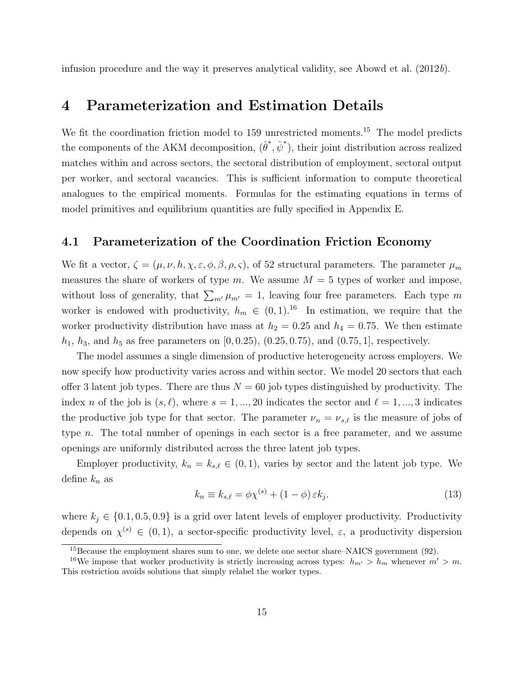infusion procedure and the way it preserves analytical validity, see [Abowd et al.](#page-32-7) [\(2012](#page-32-7)b).

### <span id="page-17-0"></span>4 Parameterization and Estimation Details

We fit the coordination friction model to [15](#page-17-1)9 unrestricted moments.<sup>15</sup> The model predicts the components of the AKM decomposition,  $(\hat{\theta}^*, \hat{\psi}^*)$ , their joint distribution across realized matches within and across sectors, the sectoral distribution of employment, sectoral output per worker, and sectoral vacancies. This is sufficient information to compute theoretical analogues to the empirical moments. Formulas for the estimating equations in terms of model primitives and equilibrium quantities are fully specified in Appendix [E.](#page-52-0)

#### <span id="page-17-3"></span>4.1 Parameterization of the Coordination Friction Economy

We fit a vector,  $\zeta = (\mu, \nu, h, \chi, \varepsilon, \phi, \beta, \rho, \varsigma)$ , of 52 structural parameters. The parameter  $\mu_m$ measures the share of workers of type  $m$ . We assume  $M = 5$  types of worker and impose, without loss of generality, that  $\sum_{m'} \mu_{m'} = 1$ , leaving four free parameters. Each type m worker is endowed with productivity,  $h_m \in (0,1).^{16}$  $h_m \in (0,1).^{16}$  $h_m \in (0,1).^{16}$  In estimation, we require that the worker productivity distribution have mass at  $h_2 = 0.25$  and  $h_4 = 0.75$ . We then estimate  $h_1, h_3$ , and  $h_5$  as free parameters on [0, 0.25), (0.25, 0.75), and (0.75, 1], respectively.

The model assumes a single dimension of productive heterogeneity across employers. We now specify how productivity varies across and within sector. We model 20 sectors that each offer 3 latent job types. There are thus  $N = 60$  job types distinguished by productivity. The index n of the job is  $(s, \ell)$ , where  $s = 1, ..., 20$  indicates the sector and  $\ell = 1, ..., 3$  indicates the productive job type for that sector. The parameter  $\nu_n = \nu_{s,\ell}$  is the measure of jobs of type n. The total number of openings in each sector is a free parameter, and we assume openings are uniformly distributed across the three latent job types.

Employer productivity,  $k_n = k_{s,\ell} \in (0,1)$ , varies by sector and the latent job type. We define  $k_n$  as

$$
k_n \equiv k_{s,\ell} = \phi \chi^{(s)} + (1 - \phi) \,\varepsilon k_j. \tag{13}
$$

where  $k_j \in \{0.1, 0.5, 0.9\}$  is a grid over latent levels of employer productivity. Productivity depends on  $\chi^{(s)} \in (0,1)$ , a sector-specific productivity level,  $\varepsilon$ , a productivity dispersion

<span id="page-17-2"></span><span id="page-17-1"></span><sup>&</sup>lt;sup>15</sup>Because the employment shares sum to one, we delete one sector share–NAICS government (92).

<sup>&</sup>lt;sup>16</sup>We impose that worker productivity is strictly increasing across types:  $h_{m'} > h_m$  whenever  $m' > m$ . This restriction avoids solutions that simply relabel the worker types.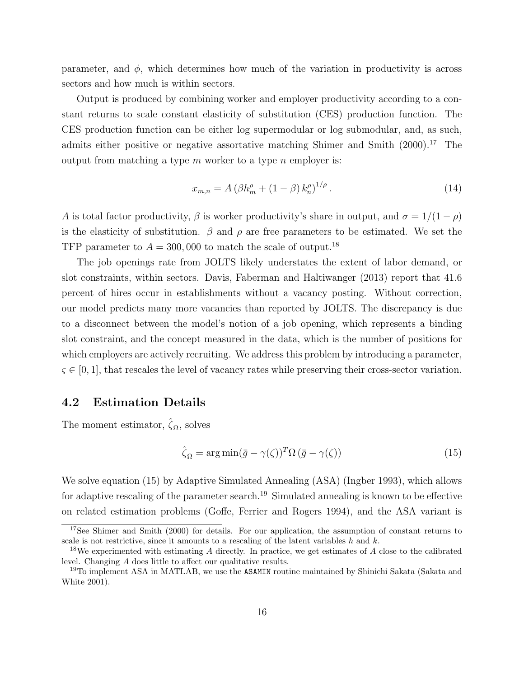parameter, and  $\phi$ , which determines how much of the variation in productivity is across sectors and how much is within sectors.

Output is produced by combining worker and employer productivity according to a constant returns to scale constant elasticity of substitution (CES) production function. The CES production function can be either log supermodular or log submodular, and, as such, admits either positive or negative assortative matching [Shimer and Smith](#page-33-3)  $(2000).^{17}$  $(2000).^{17}$  $(2000).^{17}$  $(2000).^{17}$  The output from matching a type  $m$  worker to a type  $n$  employer is:

$$
x_{m,n} = A \left(\beta h_m^{\rho} + (1 - \beta) k_n^{\rho}\right)^{1/\rho}.
$$
 (14)

A is total factor productivity,  $\beta$  is worker productivity's share in output, and  $\sigma = 1/(1 - \rho)$ is the elasticity of substitution.  $\beta$  and  $\rho$  are free parameters to be estimated. We set the TFP parameter to  $A = 300,000$  to match the scale of output.<sup>[18](#page-18-1)</sup>

The job openings rate from JOLTS likely understates the extent of labor demand, or slot constraints, within sectors. [Davis, Faberman and Haltiwanger](#page-32-8) [\(2013\)](#page-32-8) report that 41.6 percent of hires occur in establishments without a vacancy posting. Without correction, our model predicts many more vacancies than reported by JOLTS. The discrepancy is due to a disconnect between the model's notion of a job opening, which represents a binding slot constraint, and the concept measured in the data, which is the number of positions for which employers are actively recruiting. We address this problem by introducing a parameter,  $\zeta \in [0, 1]$ , that rescales the level of vacancy rates while preserving their cross-sector variation.

#### 4.2 Estimation Details

The moment estimator,  $\hat{\zeta}_{\Omega}$ , solves

<span id="page-18-2"></span>
$$
\hat{\zeta}_{\Omega} = \arg \min (\bar{g} - \gamma(\zeta))^T \Omega (\bar{g} - \gamma(\zeta)) \tag{15}
$$

We solve equation [\(15\)](#page-18-2) by Adaptive Simulated Annealing (ASA) [\(Ingber](#page-33-8) [1993\)](#page-33-8), which allows for adaptive rescaling of the parameter search.[19](#page-18-3) Simulated annealing is known to be effective on related estimation problems [\(Goffe, Ferrier and Rogers](#page-32-9) [1994\)](#page-32-9), and the ASA variant is

<span id="page-18-0"></span><sup>&</sup>lt;sup>17</sup>See [Shimer and Smith](#page-33-3) [\(2000\)](#page-33-3) for details. For our application, the assumption of constant returns to scale is not restrictive, since it amounts to a rescaling of the latent variables  $h$  and  $k$ .

<span id="page-18-1"></span><sup>&</sup>lt;sup>18</sup>We experimented with estimating A directly. In practice, we get estimates of A close to the calibrated level. Changing A does little to affect our qualitative results.

<span id="page-18-3"></span><sup>&</sup>lt;sup>19</sup>To implement ASA in MATLAB, we use the ASAMIN routine maintained by Shinichi Sakata [\(Sakata and](#page-33-9) [White](#page-33-9) [2001\)](#page-33-9).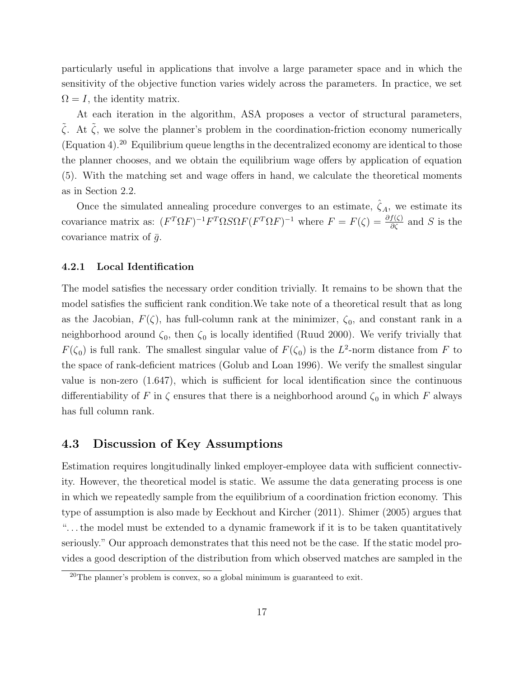particularly useful in applications that involve a large parameter space and in which the sensitivity of the objective function varies widely across the parameters. In practice, we set  $\Omega = I$ , the identity matrix.

At each iteration in the algorithm, ASA proposes a vector of structural parameters,  $\tilde{\zeta}$ . At  $\tilde{\zeta}$ , we solve the planner's problem in the coordination-friction economy numerically (Equation [4\)](#page-9-3).<sup>[20](#page-19-0)</sup> Equilibrium queue lengths in the decentralized economy are identical to those the planner chooses, and we obtain the equilibrium wage offers by application of equation [\(5\)](#page-10-0). With the matching set and wage offers in hand, we calculate the theoretical moments as in Section [2.2.](#page-12-2)

Once the simulated annealing procedure converges to an estimate,  $\hat{\zeta}_A$ , we estimate its covariance matrix as:  $(F^T \Omega F)^{-1} F^T \Omega S \Omega F (F^T \Omega F)^{-1}$  where  $F = F(\zeta) = \frac{\partial f(\zeta)}{\partial \zeta}$  and S is the covariance matrix of  $\bar{q}$ .

#### 4.2.1 Local Identification

The model satisfies the necessary order condition trivially. It remains to be shown that the model satisfies the sufficient rank condition.We take note of a theoretical result that as long as the Jacobian,  $F(\zeta)$ , has full-column rank at the minimizer,  $\zeta_0$ , and constant rank in a neighborhood around  $\zeta_0$ , then  $\zeta_0$  is locally identified [\(Ruud](#page-33-10) [2000\)](#page-33-10). We verify trivially that  $F(\zeta_0)$  is full rank. The smallest singular value of  $F(\zeta_0)$  is the  $L^2$ -norm distance from F to the space of rank-deficient matrices [\(Golub and Loan](#page-32-10) [1996\)](#page-32-10). We verify the smallest singular value is non-zero (1.647), which is sufficient for local identification since the continuous differentiability of F in  $\zeta$  ensures that there is a neighborhood around  $\zeta_0$  in which F always has full column rank.

#### 4.3 Discussion of Key Assumptions

Estimation requires longitudinally linked employer-employee data with sufficient connectivity. However, the theoretical model is static. We assume the data generating process is one in which we repeatedly sample from the equilibrium of a coordination friction economy. This type of assumption is also made by [Eeckhout and Kircher](#page-32-0) [\(2011\)](#page-32-0). [Shimer](#page-33-2) [\(2005\)](#page-33-2) argues that ". . . the model must be extended to a dynamic framework if it is to be taken quantitatively seriously." Our approach demonstrates that this need not be the case. If the static model provides a good description of the distribution from which observed matches are sampled in the

<span id="page-19-0"></span><sup>&</sup>lt;sup>20</sup>The planner's problem is convex, so a global minimum is guaranteed to exit.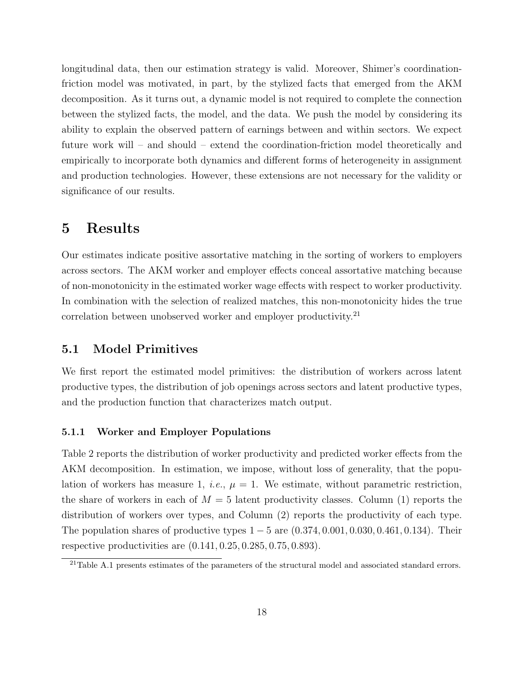longitudinal data, then our estimation strategy is valid. Moreover, Shimer's coordinationfriction model was motivated, in part, by the stylized facts that emerged from the AKM decomposition. As it turns out, a dynamic model is not required to complete the connection between the stylized facts, the model, and the data. We push the model by considering its ability to explain the observed pattern of earnings between and within sectors. We expect future work will – and should – extend the coordination-friction model theoretically and empirically to incorporate both dynamics and different forms of heterogeneity in assignment and production technologies. However, these extensions are not necessary for the validity or significance of our results.

### 5 Results

Our estimates indicate positive assortative matching in the sorting of workers to employers across sectors. The AKM worker and employer effects conceal assortative matching because of non-monotonicity in the estimated worker wage effects with respect to worker productivity. In combination with the selection of realized matches, this non-monotonicity hides the true correlation between unobserved worker and employer productivity.<sup>[21](#page-20-0)</sup>

### 5.1 Model Primitives

We first report the estimated model primitives: the distribution of workers across latent productive types, the distribution of job openings across sectors and latent productive types, and the production function that characterizes match output.

#### 5.1.1 Worker and Employer Populations

Table [2](#page-21-0) reports the distribution of worker productivity and predicted worker effects from the AKM decomposition. In estimation, we impose, without loss of generality, that the population of workers has measure 1, *i.e.*,  $\mu = 1$ . We estimate, without parametric restriction, the share of workers in each of  $M = 5$  latent productivity classes. Column (1) reports the distribution of workers over types, and Column (2) reports the productivity of each type. The population shares of productive types  $1 - 5$  are  $(0.374, 0.001, 0.030, 0.461, 0.134)$ . Their respective productivities are (0.141, 0.25, 0.285, 0.75, 0.893).

<span id="page-20-0"></span> $^{21}$ Table [A.1](#page-34-0) presents estimates of the parameters of the structural model and associated standard errors.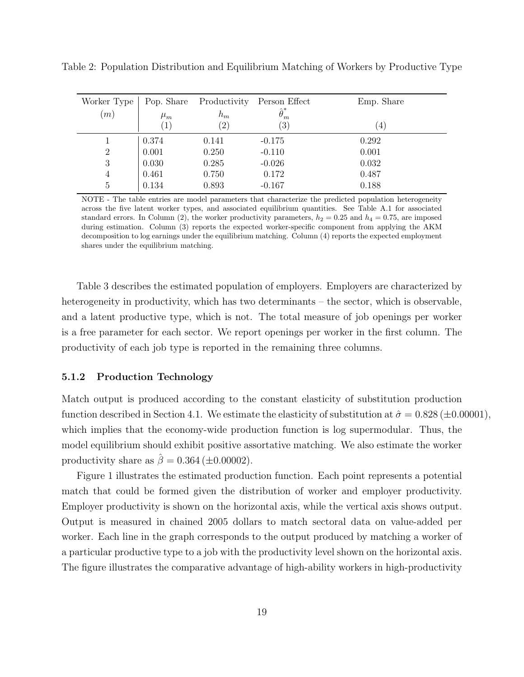| Worker Type    | Pop. Share       | Productivity  | Person Effect      | Emp. Share   |
|----------------|------------------|---------------|--------------------|--------------|
| (m)            | $\mu_m$          | $h_m$         | $\hat{\theta}_m^*$ |              |
|                | $\left(1\right)$ | $^{\prime}2)$ | (3)                | $^{\prime}4$ |
|                | 0.374            | 0.141         | $-0.175$           | 0.292        |
| 2              | 0.001            | 0.250         | $-0.110$           | 0.001        |
| 3              | 0.030            | 0.285         | $-0.026$           | 0.032        |
| $\overline{4}$ | 0.461            | 0.750         | 0.172              | 0.487        |
| 5              | 0.134            | 0.893         | $-0.167$           | 0.188        |

<span id="page-21-0"></span>Table 2: Population Distribution and Equilibrium Matching of Workers by Productive Type

NOTE - The table entries are model parameters that characterize the predicted population heterogeneity across the five latent worker types, and associated equilibrium quantities. See Table [A.1](#page-34-0) for associated standard errors. In Column (2), the worker productivity parameters,  $h_2 = 0.25$  and  $h_4 = 0.75$ , are imposed during estimation. Column (3) reports the expected worker-specific component from applying the AKM decomposition to log earnings under the equilibrium matching. Column (4) reports the expected employment shares under the equilibrium matching.

Table [3](#page-22-0) describes the estimated population of employers. Employers are characterized by heterogeneity in productivity, which has two determinants – the sector, which is observable, and a latent productive type, which is not. The total measure of job openings per worker is a free parameter for each sector. We report openings per worker in the first column. The productivity of each job type is reported in the remaining three columns.

#### 5.1.2 Production Technology

Match output is produced according to the constant elasticity of substitution production function described in Section [4.1.](#page-17-3) We estimate the elasticity of substitution at  $\hat{\sigma} = 0.828 \, (\pm 0.00001)$ , which implies that the economy-wide production function is log supermodular. Thus, the model equilibrium should exhibit positive assortative matching. We also estimate the worker productivity share as  $\hat{\beta} = 0.364 \, (\pm 0.00002)$ .

Figure [1](#page-23-0) illustrates the estimated production function. Each point represents a potential match that could be formed given the distribution of worker and employer productivity. Employer productivity is shown on the horizontal axis, while the vertical axis shows output. Output is measured in chained 2005 dollars to match sectoral data on value-added per worker. Each line in the graph corresponds to the output produced by matching a worker of a particular productive type to a job with the productivity level shown on the horizontal axis. The figure illustrates the comparative advantage of high-ability workers in high-productivity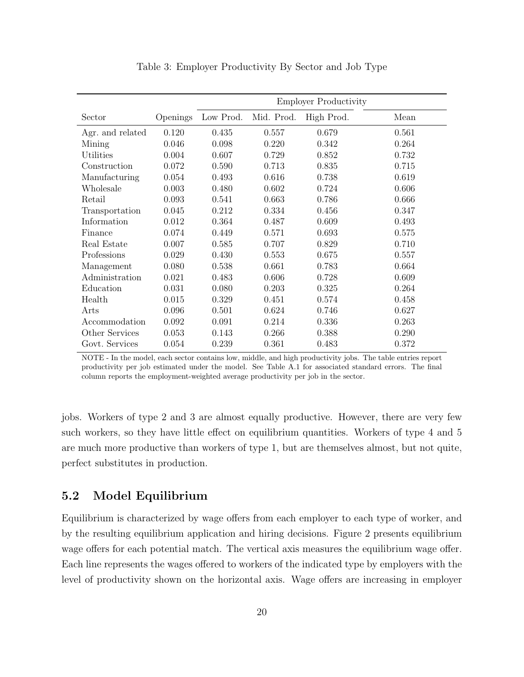<span id="page-22-0"></span>

|                  |          | <b>Employer Productivity</b> |            |            |       |  |  |
|------------------|----------|------------------------------|------------|------------|-------|--|--|
| Sector           | Openings | Low Prod.                    | Mid. Prod. | High Prod. | Mean  |  |  |
| Agr. and related | 0.120    | 0.435                        | 0.557      | 0.679      | 0.561 |  |  |
| Mining           | 0.046    | 0.098                        | 0.220      | 0.342      | 0.264 |  |  |
| Utilities        | 0.004    | 0.607                        | 0.729      | 0.852      | 0.732 |  |  |
| Construction     | 0.072    | 0.590                        | 0.713      | 0.835      | 0.715 |  |  |
| Manufacturing    | 0.054    | 0.493                        | 0.616      | 0.738      | 0.619 |  |  |
| Wholesale        | 0.003    | 0.480                        | 0.602      | 0.724      | 0.606 |  |  |
| Retail           | 0.093    | 0.541                        | 0.663      | 0.786      | 0.666 |  |  |
| Transportation   | 0.045    | 0.212                        | 0.334      | 0.456      | 0.347 |  |  |
| Information      | 0.012    | 0.364                        | 0.487      | 0.609      | 0.493 |  |  |
| Finance          | 0.074    | 0.449                        | 0.571      | 0.693      | 0.575 |  |  |
| Real Estate      | 0.007    | 0.585                        | 0.707      | 0.829      | 0.710 |  |  |
| Professions      | 0.029    | 0.430                        | 0.553      | 0.675      | 0.557 |  |  |
| Management       | 0.080    | 0.538                        | 0.661      | 0.783      | 0.664 |  |  |
| Administration   | 0.021    | 0.483                        | 0.606      | 0.728      | 0.609 |  |  |
| Education        | 0.031    | 0.080                        | 0.203      | 0.325      | 0.264 |  |  |
| Health           | 0.015    | 0.329                        | 0.451      | 0.574      | 0.458 |  |  |
| Arts             | 0.096    | 0.501                        | 0.624      | 0.746      | 0.627 |  |  |
| Accommodation    | 0.092    | 0.091                        | 0.214      | 0.336      | 0.263 |  |  |
| Other Services   | 0.053    | 0.143                        | 0.266      | 0.388      | 0.290 |  |  |
| Govt. Services   | 0.054    | 0.239                        | 0.361      | 0.483      | 0.372 |  |  |

Table 3: Employer Productivity By Sector and Job Type

NOTE - In the model, each sector contains low, middle, and high productivity jobs. The table entries report productivity per job estimated under the model. See Table [A.1](#page-34-0) for associated standard errors. The final column reports the employment-weighted average productivity per job in the sector.

jobs. Workers of type 2 and 3 are almost equally productive. However, there are very few such workers, so they have little effect on equilibrium quantities. Workers of type 4 and 5 are much more productive than workers of type 1, but are themselves almost, but not quite, perfect substitutes in production.

### 5.2 Model Equilibrium

Equilibrium is characterized by wage offers from each employer to each type of worker, and by the resulting equilibrium application and hiring decisions. Figure [2](#page-23-1) presents equilibrium wage offers for each potential match. The vertical axis measures the equilibrium wage offer. Each line represents the wages offered to workers of the indicated type by employers with the level of productivity shown on the horizontal axis. Wage offers are increasing in employer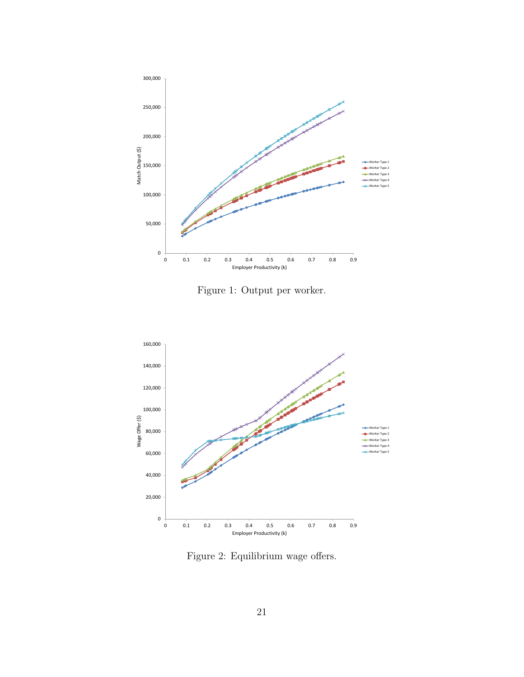<span id="page-23-0"></span>

Figure 1: Output per worker.

<span id="page-23-1"></span>

Figure 2: Equilibrium wage offers.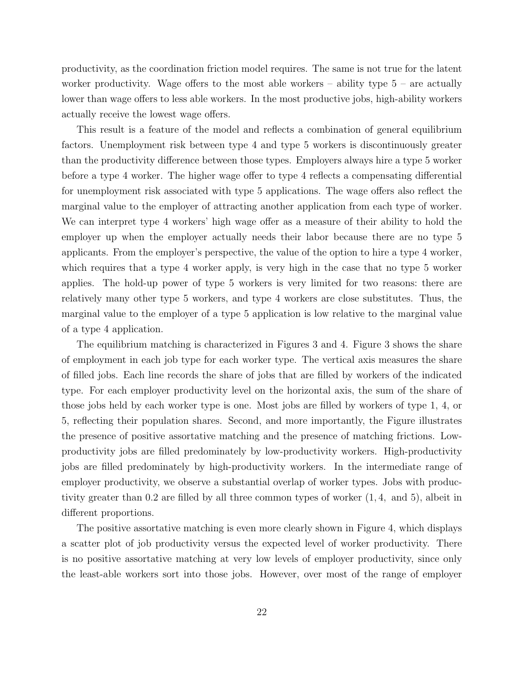productivity, as the coordination friction model requires. The same is not true for the latent worker productivity. Wage offers to the most able workers  $-$  ability type  $5 -$  are actually lower than wage offers to less able workers. In the most productive jobs, high-ability workers actually receive the lowest wage offers.

This result is a feature of the model and reflects a combination of general equilibrium factors. Unemployment risk between type 4 and type 5 workers is discontinuously greater than the productivity difference between those types. Employers always hire a type 5 worker before a type 4 worker. The higher wage offer to type 4 reflects a compensating differential for unemployment risk associated with type 5 applications. The wage offers also reflect the marginal value to the employer of attracting another application from each type of worker. We can interpret type 4 workers' high wage offer as a measure of their ability to hold the employer up when the employer actually needs their labor because there are no type 5 applicants. From the employer's perspective, the value of the option to hire a type 4 worker, which requires that a type 4 worker apply, is very high in the case that no type 5 worker applies. The hold-up power of type 5 workers is very limited for two reasons: there are relatively many other type 5 workers, and type 4 workers are close substitutes. Thus, the marginal value to the employer of a type 5 application is low relative to the marginal value of a type 4 application.

The equilibrium matching is characterized in Figures [3](#page-25-0) and [4.](#page-25-1) Figure [3](#page-25-0) shows the share of employment in each job type for each worker type. The vertical axis measures the share of filled jobs. Each line records the share of jobs that are filled by workers of the indicated type. For each employer productivity level on the horizontal axis, the sum of the share of those jobs held by each worker type is one. Most jobs are filled by workers of type 1, 4, or 5, reflecting their population shares. Second, and more importantly, the Figure illustrates the presence of positive assortative matching and the presence of matching frictions. Lowproductivity jobs are filled predominately by low-productivity workers. High-productivity jobs are filled predominately by high-productivity workers. In the intermediate range of employer productivity, we observe a substantial overlap of worker types. Jobs with productivity greater than 0.2 are filled by all three common types of worker (1, 4, and 5), albeit in different proportions.

The positive assortative matching is even more clearly shown in Figure [4,](#page-25-1) which displays a scatter plot of job productivity versus the expected level of worker productivity. There is no positive assortative matching at very low levels of employer productivity, since only the least-able workers sort into those jobs. However, over most of the range of employer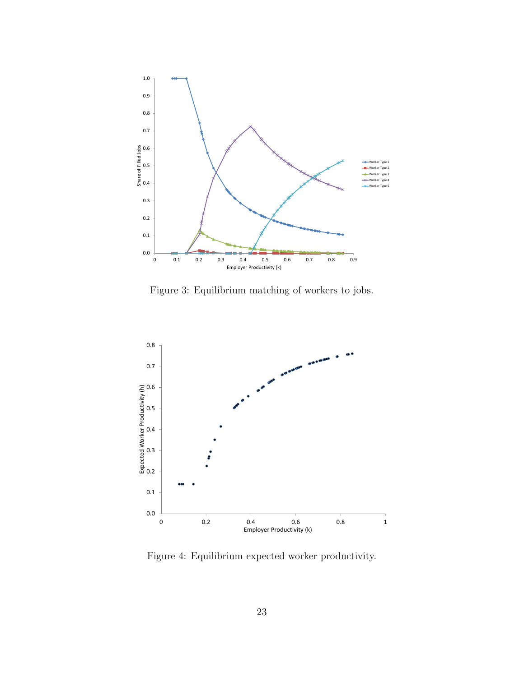<span id="page-25-0"></span>

Figure 3: Equilibrium matching of workers to jobs.

<span id="page-25-1"></span>![](_page_25_Figure_2.jpeg)

Figure 4: Equilibrium expected worker productivity.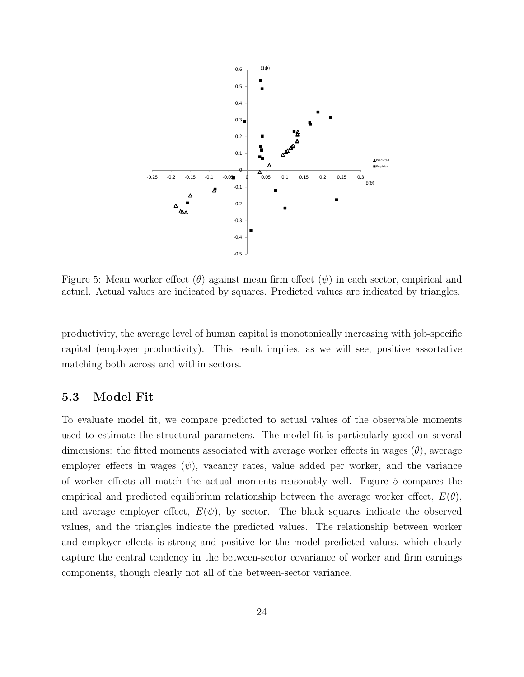<span id="page-26-0"></span>![](_page_26_Figure_0.jpeg)

Figure 5: Mean worker effect  $(\theta)$  against mean firm effect  $(\psi)$  in each sector, empirical and actual. Actual values are indicated by squares. Predicted values are indicated by triangles.

productivity, the average level of human capital is monotonically increasing with job-specific capital (employer productivity). This result implies, as we will see, positive assortative matching both across and within sectors.

#### 5.3 Model Fit

To evaluate model fit, we compare predicted to actual values of the observable moments used to estimate the structural parameters. The model fit is particularly good on several dimensions: the fitted moments associated with average worker effects in wages  $(\theta)$ , average employer effects in wages  $(\psi)$ , vacancy rates, value added per worker, and the variance of worker effects all match the actual moments reasonably well. Figure [5](#page-26-0) compares the empirical and predicted equilibrium relationship between the average worker effect,  $E(\theta)$ , and average employer effect,  $E(\psi)$ , by sector. The black squares indicate the observed values, and the triangles indicate the predicted values. The relationship between worker and employer effects is strong and positive for the model predicted values, which clearly capture the central tendency in the between-sector covariance of worker and firm earnings components, though clearly not all of the between-sector variance.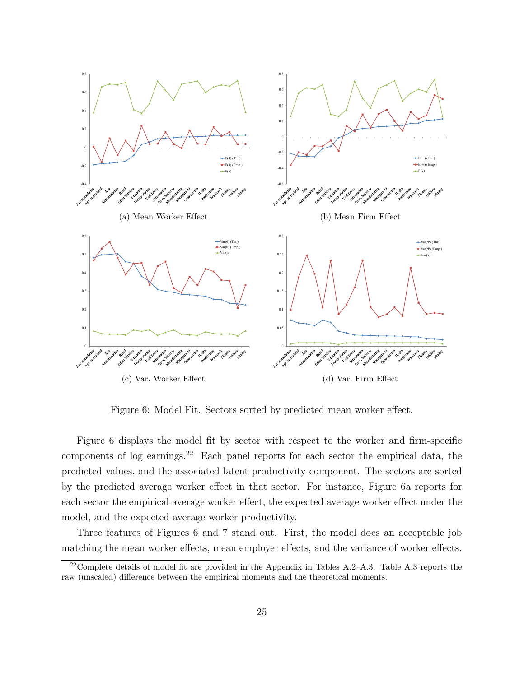<span id="page-27-2"></span><span id="page-27-0"></span>![](_page_27_Figure_0.jpeg)

Figure 6: Model Fit. Sectors sorted by predicted mean worker effect.

Figure [6](#page-27-0) displays the model fit by sector with respect to the worker and firm-specific components of log earnings.<sup>[22](#page-27-1)</sup> Each panel reports for each sector the empirical data, the predicted values, and the associated latent productivity component. The sectors are sorted by the predicted average worker effect in that sector. For instance, Figure [6a](#page-27-2) reports for each sector the empirical average worker effect, the expected average worker effect under the model, and the expected average worker productivity.

Three features of Figures [6](#page-27-0) and [7](#page-28-0) stand out. First, the model does an acceptable job matching the mean worker effects, mean employer effects, and the variance of worker effects.

<span id="page-27-1"></span> $22$ Complete details of model fit are provided in the Appendix in Tables [A.2–](#page-35-0)[A.3.](#page-36-0) Table [A.3](#page-36-0) reports the raw (unscaled) difference between the empirical moments and the theoretical moments.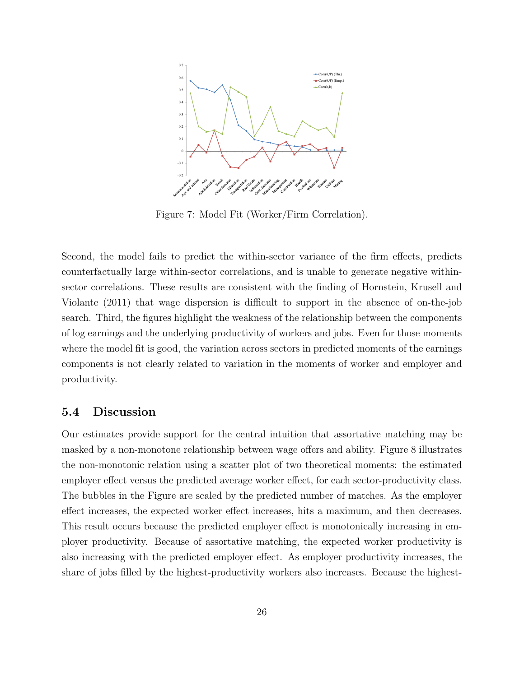<span id="page-28-0"></span>![](_page_28_Figure_0.jpeg)

Figure 7: Model Fit (Worker/Firm Correlation).

Second, the model fails to predict the within-sector variance of the firm effects, predicts counterfactually large within-sector correlations, and is unable to generate negative withinsector correlations. These results are consistent with the finding of [Hornstein, Krusell and](#page-33-11) [Violante](#page-33-11) [\(2011\)](#page-33-11) that wage dispersion is difficult to support in the absence of on-the-job search. Third, the figures highlight the weakness of the relationship between the components of log earnings and the underlying productivity of workers and jobs. Even for those moments where the model fit is good, the variation across sectors in predicted moments of the earnings components is not clearly related to variation in the moments of worker and employer and productivity.

#### 5.4 Discussion

Our estimates provide support for the central intuition that assortative matching may be masked by a non-monotone relationship between wage offers and ability. Figure [8](#page-29-0) illustrates the non-monotonic relation using a scatter plot of two theoretical moments: the estimated employer effect versus the predicted average worker effect, for each sector-productivity class. The bubbles in the Figure are scaled by the predicted number of matches. As the employer effect increases, the expected worker effect increases, hits a maximum, and then decreases. This result occurs because the predicted employer effect is monotonically increasing in employer productivity. Because of assortative matching, the expected worker productivity is also increasing with the predicted employer effect. As employer productivity increases, the share of jobs filled by the highest-productivity workers also increases. Because the highest-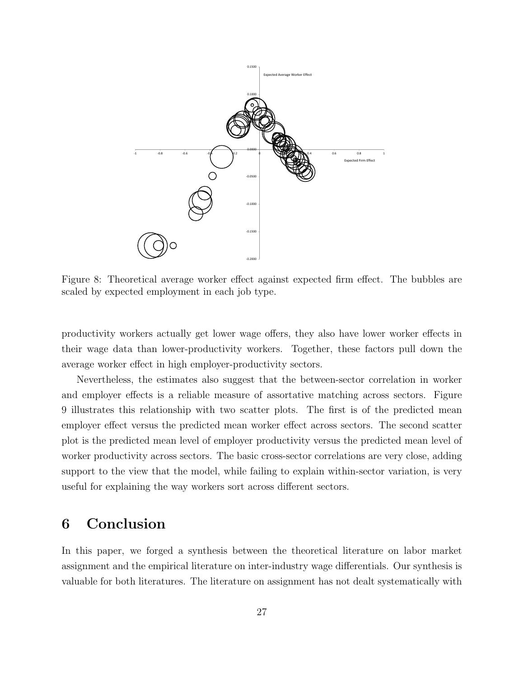<span id="page-29-0"></span>![](_page_29_Figure_0.jpeg)

Figure 8: Theoretical average worker effect against expected firm effect. The bubbles are scaled by expected employment in each job type.

productivity workers actually get lower wage offers, they also have lower worker effects in their wage data than lower-productivity workers. Together, these factors pull down the average worker effect in high employer-productivity sectors.

Nevertheless, the estimates also suggest that the between-sector correlation in worker and employer effects is a reliable measure of assortative matching across sectors. Figure [9](#page-30-0) illustrates this relationship with two scatter plots. The first is of the predicted mean employer effect versus the predicted mean worker effect across sectors. The second scatter plot is the predicted mean level of employer productivity versus the predicted mean level of worker productivity across sectors. The basic cross-sector correlations are very close, adding support to the view that the model, while failing to explain within-sector variation, is very useful for explaining the way workers sort across different sectors.

### 6 Conclusion

In this paper, we forged a synthesis between the theoretical literature on labor market assignment and the empirical literature on inter-industry wage differentials. Our synthesis is valuable for both literatures. The literature on assignment has not dealt systematically with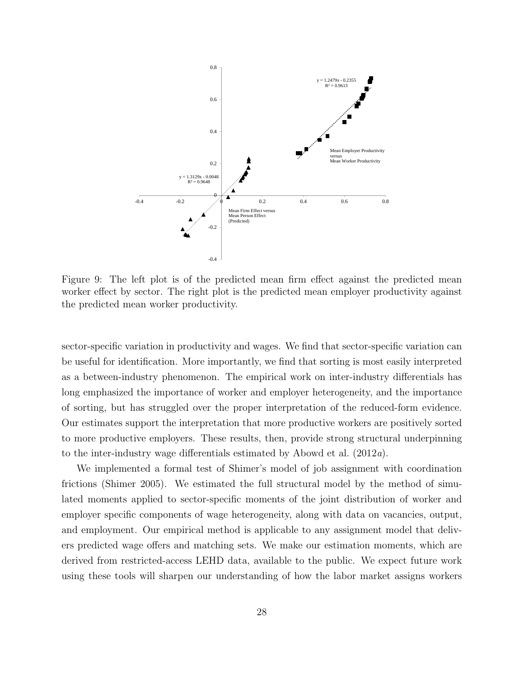<span id="page-30-0"></span>![](_page_30_Figure_0.jpeg)

Figure 9: The left plot is of the predicted mean firm effect against the predicted mean worker effect by sector. The right plot is the predicted mean employer productivity against the predicted mean worker productivity.

sector-specific variation in productivity and wages. We find that sector-specific variation can be useful for identification. More importantly, we find that sorting is most easily interpreted as a between-industry phenomenon. The empirical work on inter-industry differentials has long emphasized the importance of worker and employer heterogeneity, and the importance of sorting, but has struggled over the proper interpretation of the reduced-form evidence. Our estimates support the interpretation that more productive workers are positively sorted to more productive employers. These results, then, provide strong structural underpinning to the inter-industry wage differentials estimated by [Abowd et al.](#page-31-0)  $(2012a)$  $(2012a)$ .

We implemented a formal test of Shimer's model of job assignment with coordination frictions (Shimer 2005). We estimated the full structural model by the method of simulated moments applied to sector-specific moments of the joint distribution of worker and employer specific components of wage heterogeneity, along with data on vacancies, output, and employment. Our empirical method is applicable to any assignment model that delivers predicted wage offers and matching sets. We make our estimation moments, which are derived from restricted-access LEHD data, available to the public. We expect future work using these tools will sharpen our understanding of how the labor market assigns workers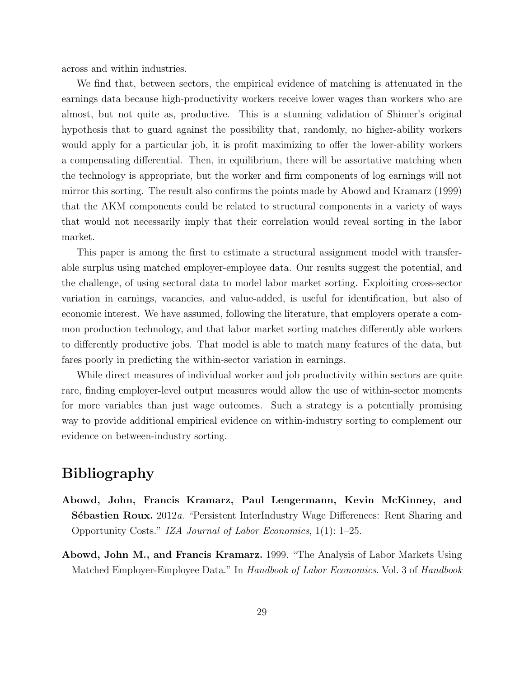across and within industries.

We find that, between sectors, the empirical evidence of matching is attenuated in the earnings data because high-productivity workers receive lower wages than workers who are almost, but not quite as, productive. This is a stunning validation of Shimer's original hypothesis that to guard against the possibility that, randomly, no higher-ability workers would apply for a particular job, it is profit maximizing to offer the lower-ability workers a compensating differential. Then, in equilibrium, there will be assortative matching when the technology is appropriate, but the worker and firm components of log earnings will not mirror this sorting. The result also confirms the points made by [Abowd and Kramarz](#page-31-1) [\(1999\)](#page-31-1) that the AKM components could be related to structural components in a variety of ways that would not necessarily imply that their correlation would reveal sorting in the labor market.

This paper is among the first to estimate a structural assignment model with transferable surplus using matched employer-employee data. Our results suggest the potential, and the challenge, of using sectoral data to model labor market sorting. Exploiting cross-sector variation in earnings, vacancies, and value-added, is useful for identification, but also of economic interest. We have assumed, following the literature, that employers operate a common production technology, and that labor market sorting matches differently able workers to differently productive jobs. That model is able to match many features of the data, but fares poorly in predicting the within-sector variation in earnings.

While direct measures of individual worker and job productivity within sectors are quite rare, finding employer-level output measures would allow the use of within-sector moments for more variables than just wage outcomes. Such a strategy is a potentially promising way to provide additional empirical evidence on within-industry sorting to complement our evidence on between-industry sorting.

### Bibliography

- <span id="page-31-0"></span>Abowd, John, Francis Kramarz, Paul Lengermann, Kevin McKinney, and **Sébastien Roux.** 2012a. "Persistent InterIndustry Wage Differences: Rent Sharing and Opportunity Costs." IZA Journal of Labor Economics, 1(1): 1–25.
- <span id="page-31-1"></span>Abowd, John M., and Francis Kramarz. 1999. "The Analysis of Labor Markets Using Matched Employer-Employee Data." In Handbook of Labor Economics. Vol. 3 of Handbook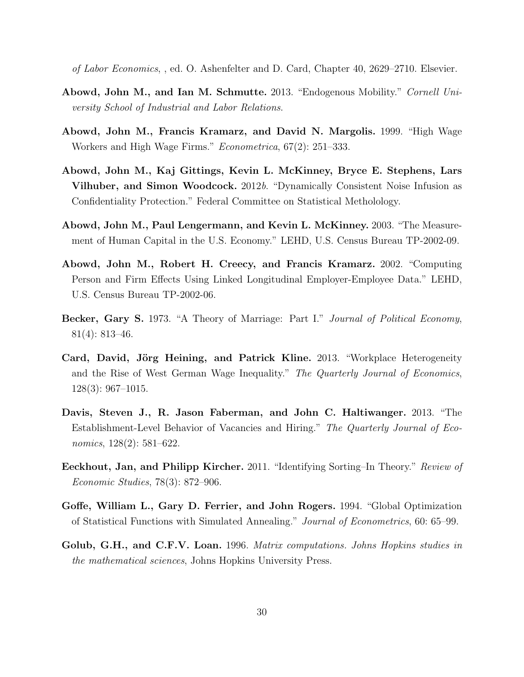of Labor Economics, , ed. O. Ashenfelter and D. Card, Chapter 40, 2629–2710. Elsevier.

- <span id="page-32-5"></span>Abowd, John M., and Ian M. Schmutte. 2013. "Endogenous Mobility." Cornell University School of Industrial and Labor Relations.
- <span id="page-32-1"></span>Abowd, John M., Francis Kramarz, and David N. Margolis. 1999. "High Wage Workers and High Wage Firms." Econometrica, 67(2): 251–333.
- <span id="page-32-7"></span>Abowd, John M., Kaj Gittings, Kevin L. McKinney, Bryce E. Stephens, Lars Vilhuber, and Simon Woodcock. 2012b. "Dynamically Consistent Noise Infusion as Confidentiality Protection." Federal Committee on Statistical Metholology.
- <span id="page-32-2"></span>Abowd, John M., Paul Lengermann, and Kevin L. McKinney. 2003. "The Measurement of Human Capital in the U.S. Economy." LEHD, U.S. Census Bureau TP-2002-09.
- <span id="page-32-6"></span>Abowd, John M., Robert H. Creecy, and Francis Kramarz. 2002. "Computing Person and Firm Effects Using Linked Longitudinal Employer-Employee Data." LEHD, U.S. Census Bureau TP-2002-06.
- <span id="page-32-3"></span>Becker, Gary S. 1973. "A Theory of Marriage: Part I." Journal of Political Economy, 81(4): 813–46.
- <span id="page-32-4"></span>Card, David, Jörg Heining, and Patrick Kline. 2013. "Workplace Heterogeneity and the Rise of West German Wage Inequality." The Quarterly Journal of Economics, 128(3): 967–1015.
- <span id="page-32-8"></span>Davis, Steven J., R. Jason Faberman, and John C. Haltiwanger. 2013. "The Establishment-Level Behavior of Vacancies and Hiring." The Quarterly Journal of Economics, 128(2): 581–622.
- <span id="page-32-0"></span>Eeckhout, Jan, and Philipp Kircher. 2011. "Identifying Sorting–In Theory." Review of Economic Studies, 78(3): 872–906.
- <span id="page-32-9"></span>Goffe, William L., Gary D. Ferrier, and John Rogers. 1994. "Global Optimization of Statistical Functions with Simulated Annealing." Journal of Econometrics, 60: 65–99.
- <span id="page-32-10"></span>Golub, G.H., and C.F.V. Loan. 1996. Matrix computations. Johns Hopkins studies in the mathematical sciences, Johns Hopkins University Press.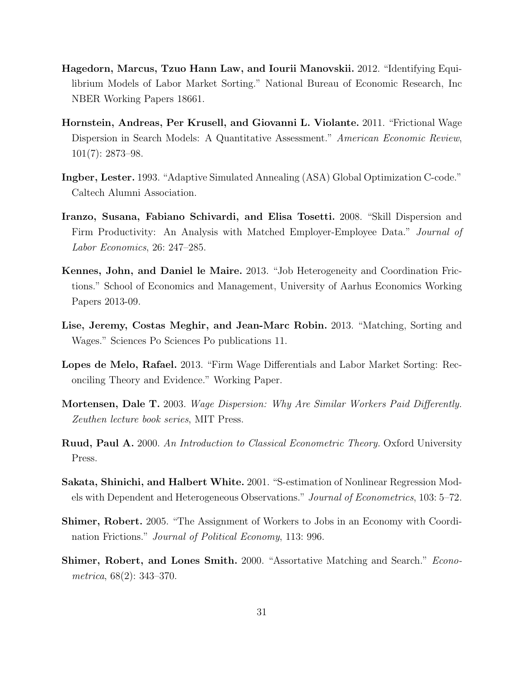- <span id="page-33-4"></span>Hagedorn, Marcus, Tzuo Hann Law, and Iourii Manovskii. 2012. "Identifying Equilibrium Models of Labor Market Sorting." National Bureau of Economic Research, Inc NBER Working Papers 18661.
- <span id="page-33-11"></span>Hornstein, Andreas, Per Krusell, and Giovanni L. Violante. 2011. "Frictional Wage Dispersion in Search Models: A Quantitative Assessment." American Economic Review, 101(7): 2873–98.
- <span id="page-33-8"></span>Ingber, Lester. 1993. "Adaptive Simulated Annealing (ASA) Global Optimization C-code." Caltech Alumni Association.
- <span id="page-33-1"></span>Iranzo, Susana, Fabiano Schivardi, and Elisa Tosetti. 2008. "Skill Dispersion and Firm Productivity: An Analysis with Matched Employer-Employee Data." Journal of Labor Economics, 26: 247–285.
- <span id="page-33-7"></span>Kennes, John, and Daniel le Maire. 2013. "Job Heterogeneity and Coordination Frictions." School of Economics and Management, University of Aarhus Economics Working Papers 2013-09.
- <span id="page-33-6"></span>Lise, Jeremy, Costas Meghir, and Jean-Marc Robin. 2013. "Matching, Sorting and Wages." Sciences Po Sciences Po publications 11.
- <span id="page-33-5"></span>Lopes de Melo, Rafael. 2013. "Firm Wage Differentials and Labor Market Sorting: Reconciling Theory and Evidence." Working Paper.
- <span id="page-33-0"></span>Mortensen, Dale T. 2003. Wage Dispersion: Why Are Similar Workers Paid Differently. Zeuthen lecture book series, MIT Press.
- <span id="page-33-10"></span>Ruud, Paul A. 2000. An Introduction to Classical Econometric Theory. Oxford University Press.
- <span id="page-33-9"></span>Sakata, Shinichi, and Halbert White. 2001. "S-estimation of Nonlinear Regression Models with Dependent and Heterogeneous Observations." Journal of Econometrics, 103: 5–72.
- <span id="page-33-2"></span>Shimer, Robert. 2005. "The Assignment of Workers to Jobs in an Economy with Coordination Frictions." Journal of Political Economy, 113: 996.
- <span id="page-33-3"></span>Shimer, Robert, and Lones Smith. 2000. "Assortative Matching and Search." Econometrica, 68(2): 343–370.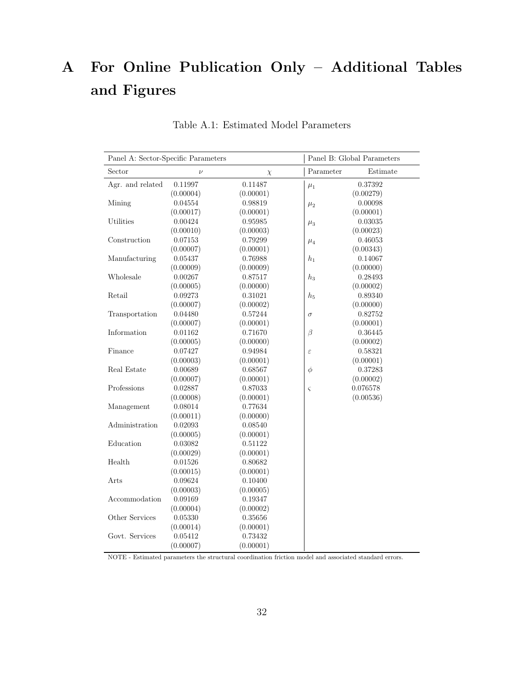# A For Online Publication Only – Additional Tables and Figures

<span id="page-34-0"></span>

| Panel A: Sector-Specific Parameters |           |           | Panel B: Global Parameters |           |  |  |
|-------------------------------------|-----------|-----------|----------------------------|-----------|--|--|
| Sector                              | $\nu$     | $\chi$    | Parameter                  | Estimate  |  |  |
| Agr. and related                    | 0.11997   | 0.11487   | $\mu_1$                    | 0.37392   |  |  |
|                                     | (0.00004) | (0.00001) |                            | (0.00279) |  |  |
| Mining                              | 0.04554   | 0.98819   | $\mu_2$                    | 0.00098   |  |  |
|                                     | (0.00017) | (0.00001) |                            | (0.00001) |  |  |
| Utilities                           | 0.00424   | 0.95985   | $\mu_3$                    | 0.03035   |  |  |
|                                     | (0.00010) | (0.00003) |                            | (0.00023) |  |  |
| Construction                        | 0.07153   | 0.79299   | $\mu_4$                    | 0.46053   |  |  |
|                                     | (0.00007) | (0.00001) |                            | (0.00343) |  |  |
| Manufacturing                       | 0.05437   | 0.76988   | $h_1$                      | 0.14067   |  |  |
|                                     | (0.00009) | (0.00009) |                            | (0.00000) |  |  |
| Wholesale                           | 0.00267   | 0.87517   | $h_3$                      | 0.28493   |  |  |
|                                     | (0.00005) | (0.00000) |                            | (0.00002) |  |  |
| Retail                              | 0.09273   | 0.31021   | $h_5$                      | 0.89340   |  |  |
|                                     | (0.00007) | (0.00002) |                            | (0.00000) |  |  |
| Transportation                      | 0.04480   | 0.57244   | $\sigma$                   | 0.82752   |  |  |
|                                     | (0.00007) | (0.00001) |                            | (0.00001) |  |  |
| Information                         | 0.01162   | 0.71670   | β                          | 0.36445   |  |  |
|                                     | (0.00005) | (0.00000) |                            | (0.00002) |  |  |
| Finance                             | 0.07427   | 0.94984   | $\varepsilon$              | 0.58321   |  |  |
|                                     | (0.00003) | (0.00001) |                            | (0.00001) |  |  |
| Real Estate                         | 0.00689   | 0.68567   | $\phi$                     | 0.37283   |  |  |
|                                     | (0.00007) | (0.00001) |                            | (0.00002) |  |  |
| Professions                         | 0.02887   | 0.87033   | $\varsigma$                | 0.076578  |  |  |
|                                     | (0.00008) | (0.00001) |                            | (0.00536) |  |  |
| Management                          | 0.08014   | 0.77634   |                            |           |  |  |
|                                     | (0.00011) | (0.00000) |                            |           |  |  |
| Administration                      | 0.02093   | 0.08540   |                            |           |  |  |
|                                     | (0.00005) | (0.00001) |                            |           |  |  |
| Education                           | 0.03082   | 0.51122   |                            |           |  |  |
|                                     | (0.00029) | (0.00001) |                            |           |  |  |
| Health                              | 0.01526   | 0.80682   |                            |           |  |  |
|                                     | (0.00015) | (0.00001) |                            |           |  |  |
| Arts                                | 0.09624   | 0.10400   |                            |           |  |  |
|                                     | (0.00003) | (0.00005) |                            |           |  |  |
| Accommodation                       | 0.09169   | 0.19347   |                            |           |  |  |
|                                     | (0.00004) | (0.00002) |                            |           |  |  |
| Other Services                      | 0.05330   | 0.35656   |                            |           |  |  |
|                                     | (0.00014) | (0.00001) |                            |           |  |  |
| Govt. Services                      | 0.05412   | 0.73432   |                            |           |  |  |
|                                     | (0.00007) | (0.00001) |                            |           |  |  |

Table A.1: Estimated Model Parameters

NOTE - Estimated parameters the structural coordination friction model and associated standard errors.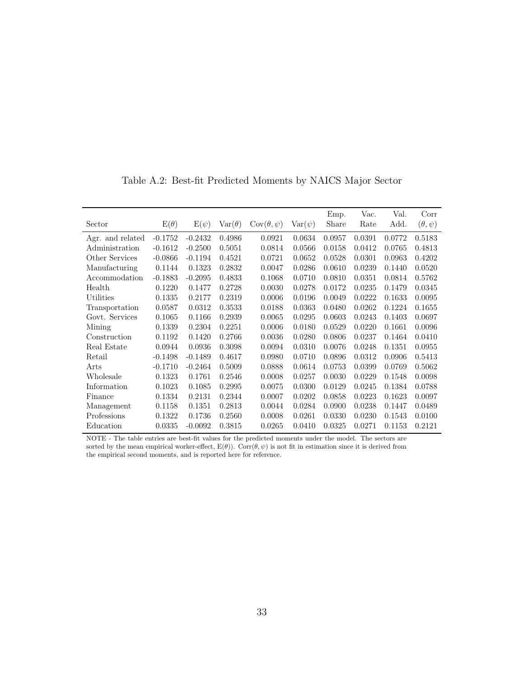<span id="page-35-0"></span>

|                  |             |           |               |                     |             | Emp.   | Vac.   | Val.   | Corr            |
|------------------|-------------|-----------|---------------|---------------------|-------------|--------|--------|--------|-----------------|
| Sector           | $E(\theta)$ | $E(\psi)$ | $Var(\theta)$ | $Cov(\theta, \psi)$ | $Var(\psi)$ | Share  | Rate   | Add.   | $(\theta,\psi)$ |
| Agr. and related | $-0.1752$   | $-0.2432$ | 0.4986        | 0.0921              | 0.0634      | 0.0957 | 0.0391 | 0.0772 | 0.5183          |
| Administration   | $-0.1612$   | $-0.2500$ | 0.5051        | 0.0814              | 0.0566      | 0.0158 | 0.0412 | 0.0765 | 0.4813          |
| Other Services   | $-0.0866$   | $-0.1194$ | 0.4521        | 0.0721              | 0.0652      | 0.0528 | 0.0301 | 0.0963 | 0.4202          |
| Manufacturing    | 0.1144      | 0.1323    | 0.2832        | 0.0047              | 0.0286      | 0.0610 | 0.0239 | 0.1440 | 0.0520          |
| Accommodation    | $-0.1883$   | $-0.2095$ | 0.4833        | 0.1068              | 0.0710      | 0.0810 | 0.0351 | 0.0814 | 0.5762          |
| Health           | 0.1220      | 0.1477    | 0.2728        | 0.0030              | 0.0278      | 0.0172 | 0.0235 | 0.1479 | 0.0345          |
| Utilities        | 0.1335      | 0.2177    | 0.2319        | 0.0006              | 0.0196      | 0.0049 | 0.0222 | 0.1633 | 0.0095          |
| Transportation   | 0.0587      | 0.0312    | 0.3533        | 0.0188              | 0.0363      | 0.0480 | 0.0262 | 0.1224 | 0.1655          |
| Govt. Services   | 0.1065      | 0.1166    | 0.2939        | 0.0065              | 0.0295      | 0.0603 | 0.0243 | 0.1403 | 0.0697          |
| Mining           | 0.1339      | 0.2304    | 0.2251        | 0.0006              | 0.0180      | 0.0529 | 0.0220 | 0.1661 | 0.0096          |
| Construction     | 0.1192      | 0.1420    | 0.2766        | 0.0036              | 0.0280      | 0.0806 | 0.0237 | 0.1464 | 0.0410          |
| Real Estate      | 0.0944      | 0.0936    | 0.3098        | 0.0094              | 0.0310      | 0.0076 | 0.0248 | 0.1351 | 0.0955          |
| Retail           | $-0.1498$   | $-0.1489$ | 0.4617        | 0.0980              | 0.0710      | 0.0896 | 0.0312 | 0.0906 | 0.5413          |
| Arts             | $-0.1710$   | $-0.2464$ | 0.5009        | 0.0888              | 0.0614      | 0.0753 | 0.0399 | 0.0769 | 0.5062          |
| Wholesale        | 0.1323      | 0.1761    | 0.2546        | 0.0008              | 0.0257      | 0.0030 | 0.0229 | 0.1548 | 0.0098          |
| Information      | 0.1023      | 0.1085    | 0.2995        | 0.0075              | 0.0300      | 0.0129 | 0.0245 | 0.1384 | 0.0788          |
| Finance          | 0.1334      | 0.2131    | 0.2344        | 0.0007              | 0.0202      | 0.0858 | 0.0223 | 0.1623 | 0.0097          |
| Management       | 0.1158      | 0.1351    | 0.2813        | 0.0044              | 0.0284      | 0.0900 | 0.0238 | 0.1447 | 0.0489          |
| Professions      | 0.1322      | 0.1736    | 0.2560        | 0.0008              | 0.0261      | 0.0330 | 0.0230 | 0.1543 | 0.0100          |
| Education        | 0.0335      | $-0.0092$ | 0.3815        | 0.0265              | 0.0410      | 0.0325 | 0.0271 | 0.1153 | 0.2121          |

Table A.2: Best-fit Predicted Moments by NAICS Major Sector

NOTE - The table entries are best-fit values for the predicted moments under the model. The sectors are sorted by the mean empirical worker-effect,  $E(\theta)$ ). Corr $(\theta, \psi)$  is not fit in estimation since it is derived from the empirical second moments, and is reported here for reference.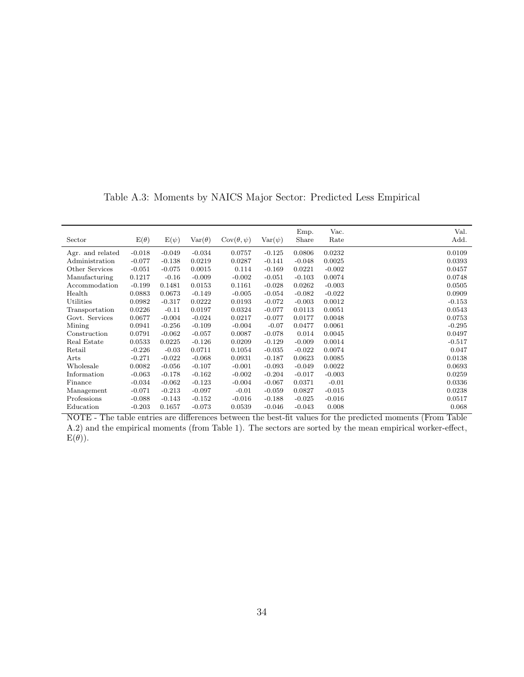<span id="page-36-0"></span>

| Sector           | $E(\theta)$ | $E(\psi)$ | $Var(\theta)$ | $Cov(\theta, \psi)$ | $\text{Var}(\psi)$ | Emp.<br>Share | Vac.<br>Rate | Val.<br>Add. |
|------------------|-------------|-----------|---------------|---------------------|--------------------|---------------|--------------|--------------|
| Agr. and related | $-0.018$    | $-0.049$  | $-0.034$      | 0.0757              | $-0.125$           | 0.0806        | 0.0232       | 0.0109       |
| Administration   | $-0.077$    | $-0.138$  | 0.0219        | 0.0287              | $-0.141$           | $-0.048$      | 0.0025       | 0.0393       |
| Other Services   | $-0.051$    | $-0.075$  | 0.0015        | 0.114               | $-0.169$           | 0.0221        | $-0.002$     | 0.0457       |
| Manufacturing    | 0.1217      | $-0.16$   | $-0.009$      | $-0.002$            | $-0.051$           | $-0.103$      | 0.0074       | 0.0748       |
| Accommodation    | $-0.199$    | 0.1481    | 0.0153        | 0.1161              | $-0.028$           | 0.0262        | $-0.003$     | 0.0505       |
| Health           | 0.0883      | 0.0673    | $-0.149$      | $-0.005$            | $-0.054$           | $-0.082$      | $-0.022$     | 0.0909       |
| Utilities        | 0.0982      | $-0.317$  | 0.0222        | 0.0193              | $-0.072$           | $-0.003$      | 0.0012       | $-0.153$     |
| Transportation   | 0.0226      | $-0.11$   | 0.0197        | 0.0324              | $-0.077$           | 0.0113        | 0.0051       | 0.0543       |
| Govt. Services   | 0.0677      | $-0.004$  | $-0.024$      | 0.0217              | $-0.077$           | 0.0177        | 0.0048       | 0.0753       |
| Mining           | 0.0941      | $-0.256$  | $-0.109$      | $-0.004$            | $-0.07$            | 0.0477        | 0.0061       | $-0.295$     |
| Construction     | 0.0791      | $-0.062$  | $-0.057$      | 0.0087              | $-0.078$           | 0.014         | 0.0045       | 0.0497       |
| Real Estate      | 0.0533      | 0.0225    | $-0.126$      | 0.0209              | $-0.129$           | $-0.009$      | 0.0014       | $-0.517$     |
| Retail           | $-0.226$    | $-0.03$   | 0.0711        | 0.1054              | $-0.035$           | $-0.022$      | 0.0074       | 0.047        |
| Arts             | $-0.271$    | $-0.022$  | $-0.068$      | 0.0931              | $-0.187$           | 0.0623        | 0.0085       | 0.0138       |
| Wholesale        | 0.0082      | $-0.056$  | $-0.107$      | $-0.001$            | $-0.093$           | $-0.049$      | 0.0022       | 0.0693       |
| Information      | $-0.063$    | $-0.178$  | $-0.162$      | $-0.002$            | $-0.204$           | $-0.017$      | $-0.003$     | 0.0259       |
| Finance          | $-0.034$    | $-0.062$  | $-0.123$      | $-0.004$            | $-0.067$           | 0.0371        | $-0.01$      | 0.0336       |
| Management       | $-0.071$    | $-0.213$  | $-0.097$      | $-0.01$             | $-0.059$           | 0.0827        | $-0.015$     | 0.0238       |
| Professions      | $-0.088$    | $-0.143$  | $-0.152$      | $-0.016$            | $-0.188$           | $-0.025$      | $-0.016$     | 0.0517       |
| Education        | $-0.203$    | 0.1657    | $-0.073$      | 0.0539              | $-0.046$           | $-0.043$      | 0.008        | 0.068        |

Table A.3: Moments by NAICS Major Sector: Predicted Less Empirical

NOTE - The table entries are differences between the best-fit values for the predicted moments (From Table [A.2\)](#page-35-0) and the empirical moments (from Table [1\)](#page-16-0). The sectors are sorted by the mean empirical worker-effect,  $E(\theta)$ ).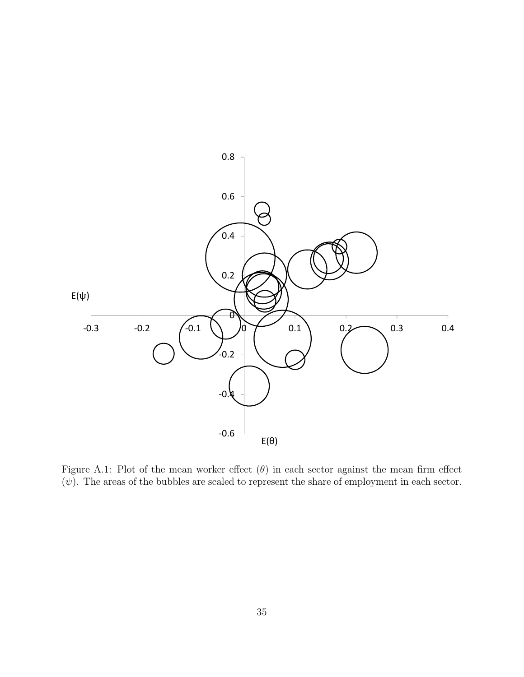![](_page_37_Figure_0.jpeg)

Figure A.1: Plot of the mean worker effect  $(\theta)$  in each sector against the mean firm effect  $(\psi)$ . The areas of the bubbles are scaled to represent the share of employment in each sector.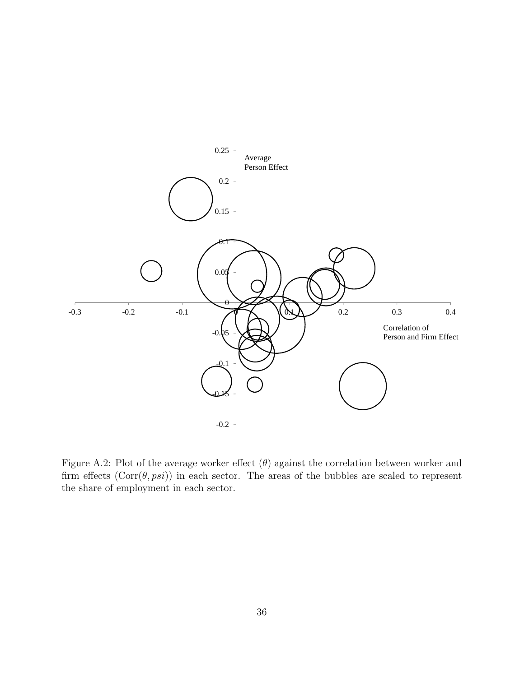<span id="page-38-0"></span>![](_page_38_Figure_0.jpeg)

Figure A.2: Plot of the average worker effect  $(\theta)$  against the correlation between worker and firm effects ( $Corr(\theta, psi)$ ) in each sector. The areas of the bubbles are scaled to represent the share of employment in each sector.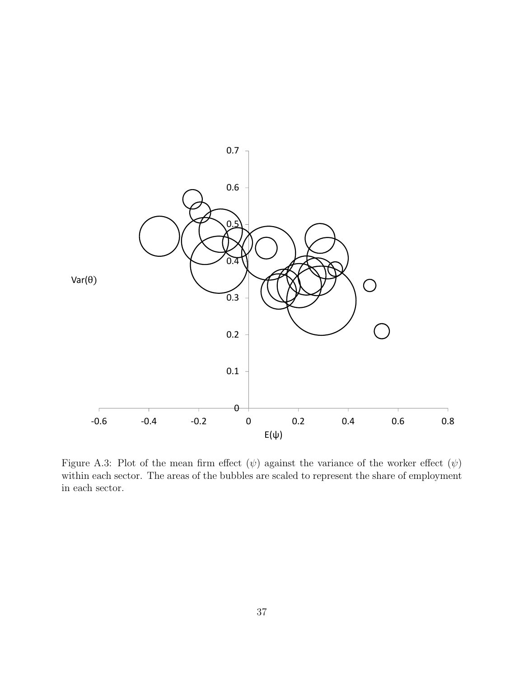<span id="page-39-0"></span>![](_page_39_Figure_0.jpeg)

Figure A.3: Plot of the mean firm effect  $(\psi)$  against the variance of the worker effect  $(\psi)$ within each sector. The areas of the bubbles are scaled to represent the share of employment in each sector.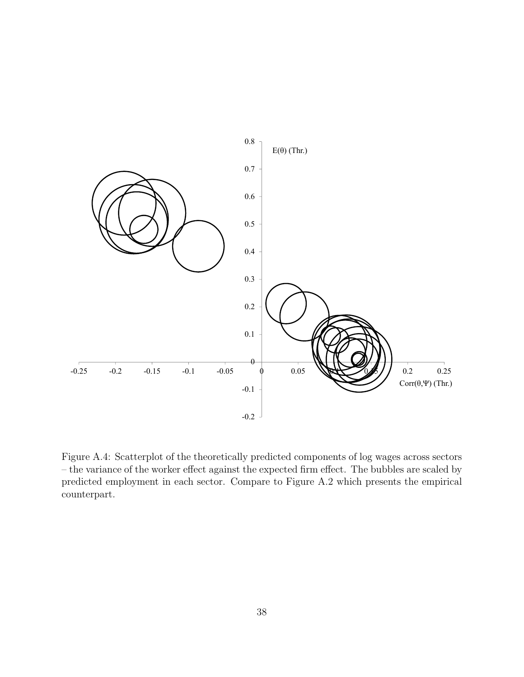![](_page_40_Figure_0.jpeg)

Figure A.4: Scatterplot of the theoretically predicted components of log wages across sectors – the variance of the worker effect against the expected firm effect. The bubbles are scaled by predicted employment in each sector. Compare to Figure [A.2](#page-38-0) which presents the empirical counterpart.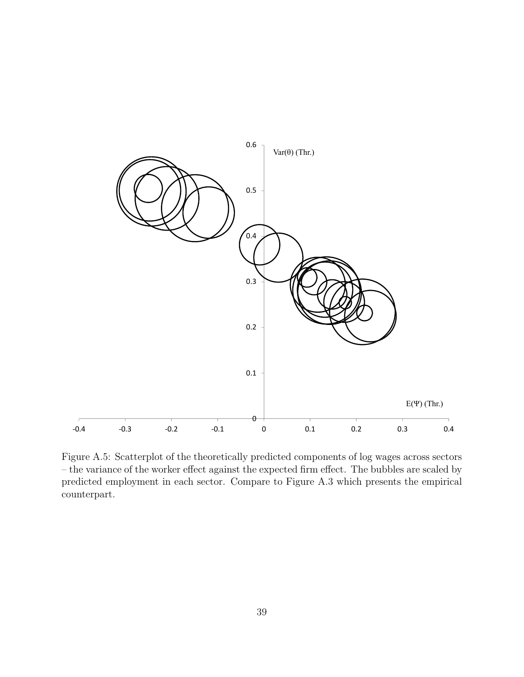![](_page_41_Figure_0.jpeg)

Figure A.5: Scatterplot of the theoretically predicted components of log wages across sectors – the variance of the worker effect against the expected firm effect. The bubbles are scaled by predicted employment in each sector. Compare to Figure [A.3](#page-39-0) which presents the empirical counterpart.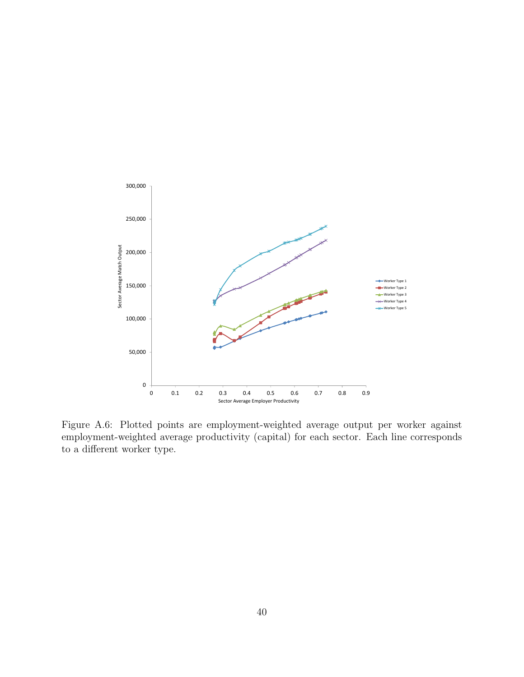![](_page_42_Figure_0.jpeg)

Figure A.6: Plotted points are employment-weighted average output per worker against employment-weighted average productivity (capital) for each sector. Each line corresponds to a different worker type.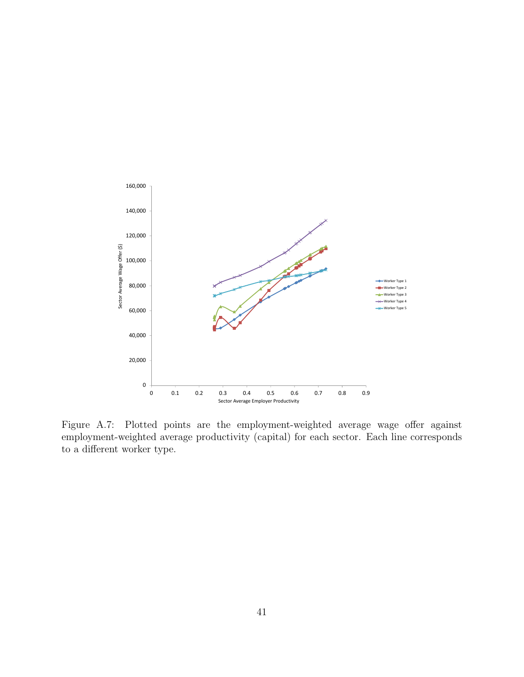![](_page_43_Figure_0.jpeg)

Figure A.7: Plotted points are the employment-weighted average wage offer against employment-weighted average productivity (capital) for each sector. Each line corresponds to a different worker type.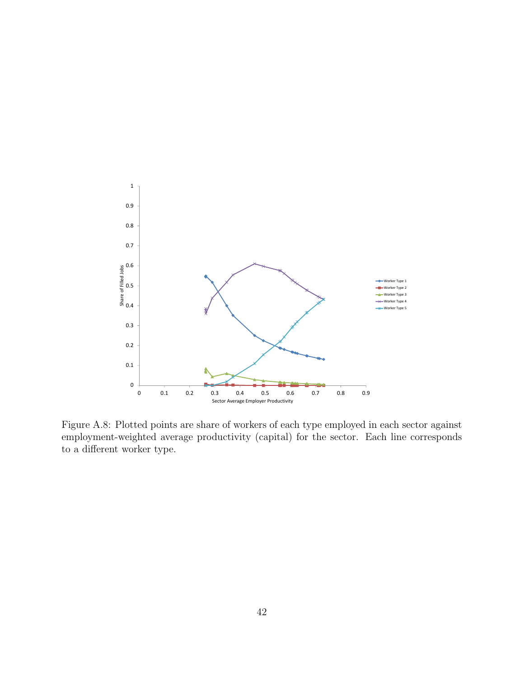![](_page_44_Figure_0.jpeg)

Figure A.8: Plotted points are share of workers of each type employed in each sector against employment-weighted average productivity (capital) for the sector. Each line corresponds to a different worker type.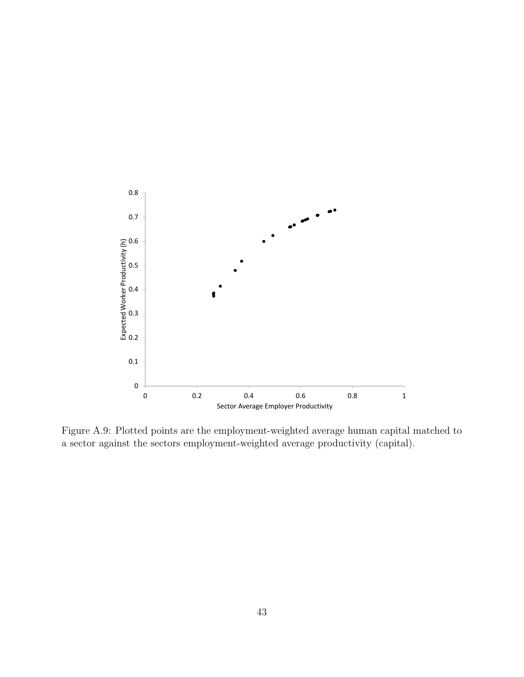![](_page_45_Figure_0.jpeg)

Figure A.9: Plotted points are the employment-weighted average human capital matched to a sector against the sectors employment-weighted average productivity (capital).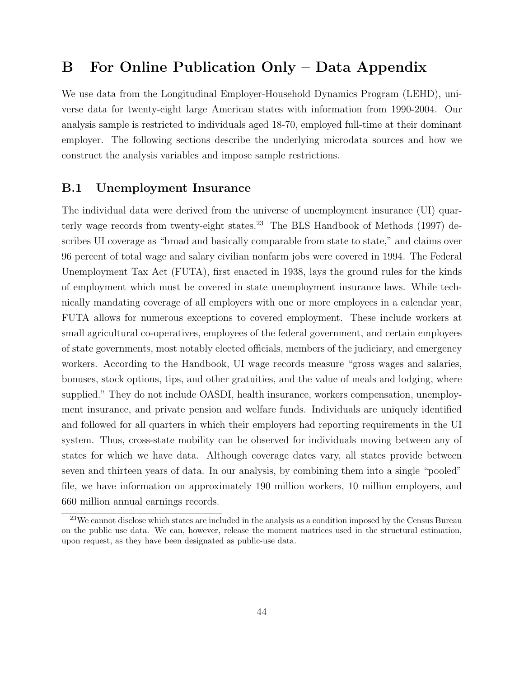### <span id="page-46-0"></span>B For Online Publication Only – Data Appendix

We use data from the Longitudinal Employer-Household Dynamics Program (LEHD), universe data for twenty-eight large American states with information from 1990-2004. Our analysis sample is restricted to individuals aged 18-70, employed full-time at their dominant employer. The following sections describe the underlying microdata sources and how we construct the analysis variables and impose sample restrictions.

### B.1 Unemployment Insurance

The individual data were derived from the universe of unemployment insurance (UI) quar-terly wage records from twenty-eight states.<sup>[23](#page-46-1)</sup> The BLS Handbook of Methods (1997) describes UI coverage as "broad and basically comparable from state to state," and claims over 96 percent of total wage and salary civilian nonfarm jobs were covered in 1994. The Federal Unemployment Tax Act (FUTA), first enacted in 1938, lays the ground rules for the kinds of employment which must be covered in state unemployment insurance laws. While technically mandating coverage of all employers with one or more employees in a calendar year, FUTA allows for numerous exceptions to covered employment. These include workers at small agricultural co-operatives, employees of the federal government, and certain employees of state governments, most notably elected officials, members of the judiciary, and emergency workers. According to the Handbook, UI wage records measure "gross wages and salaries, bonuses, stock options, tips, and other gratuities, and the value of meals and lodging, where supplied." They do not include OASDI, health insurance, workers compensation, unemployment insurance, and private pension and welfare funds. Individuals are uniquely identified and followed for all quarters in which their employers had reporting requirements in the UI system. Thus, cross-state mobility can be observed for individuals moving between any of states for which we have data. Although coverage dates vary, all states provide between seven and thirteen years of data. In our analysis, by combining them into a single "pooled" file, we have information on approximately 190 million workers, 10 million employers, and 660 million annual earnings records.

<span id="page-46-1"></span><sup>&</sup>lt;sup>23</sup>We cannot disclose which states are included in the analysis as a condition imposed by the Census Bureau on the public use data. We can, however, release the moment matrices used in the structural estimation, upon request, as they have been designated as public-use data.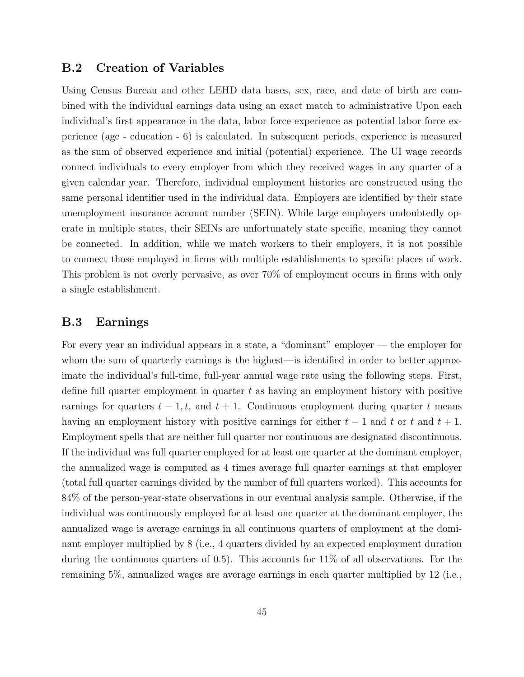#### B.2 Creation of Variables

Using Census Bureau and other LEHD data bases, sex, race, and date of birth are combined with the individual earnings data using an exact match to administrative Upon each individual's first appearance in the data, labor force experience as potential labor force experience (age - education - 6) is calculated. In subsequent periods, experience is measured as the sum of observed experience and initial (potential) experience. The UI wage records connect individuals to every employer from which they received wages in any quarter of a given calendar year. Therefore, individual employment histories are constructed using the same personal identifier used in the individual data. Employers are identified by their state unemployment insurance account number (SEIN). While large employers undoubtedly operate in multiple states, their SEINs are unfortunately state specific, meaning they cannot be connected. In addition, while we match workers to their employers, it is not possible to connect those employed in firms with multiple establishments to specific places of work. This problem is not overly pervasive, as over 70% of employment occurs in firms with only a single establishment.

### B.3 Earnings

For every year an individual appears in a state, a "dominant" employer — the employer for whom the sum of quarterly earnings is the highest—is identified in order to better approximate the individual's full-time, full-year annual wage rate using the following steps. First, define full quarter employment in quarter  $t$  as having an employment history with positive earnings for quarters  $t - 1, t$ , and  $t + 1$ . Continuous employment during quarter t means having an employment history with positive earnings for either  $t-1$  and  $t$  or  $t$  and  $t+1$ . Employment spells that are neither full quarter nor continuous are designated discontinuous. If the individual was full quarter employed for at least one quarter at the dominant employer, the annualized wage is computed as 4 times average full quarter earnings at that employer (total full quarter earnings divided by the number of full quarters worked). This accounts for 84% of the person-year-state observations in our eventual analysis sample. Otherwise, if the individual was continuously employed for at least one quarter at the dominant employer, the annualized wage is average earnings in all continuous quarters of employment at the dominant employer multiplied by 8 (i.e., 4 quarters divided by an expected employment duration during the continuous quarters of 0.5). This accounts for 11% of all observations. For the remaining 5%, annualized wages are average earnings in each quarter multiplied by 12 (i.e.,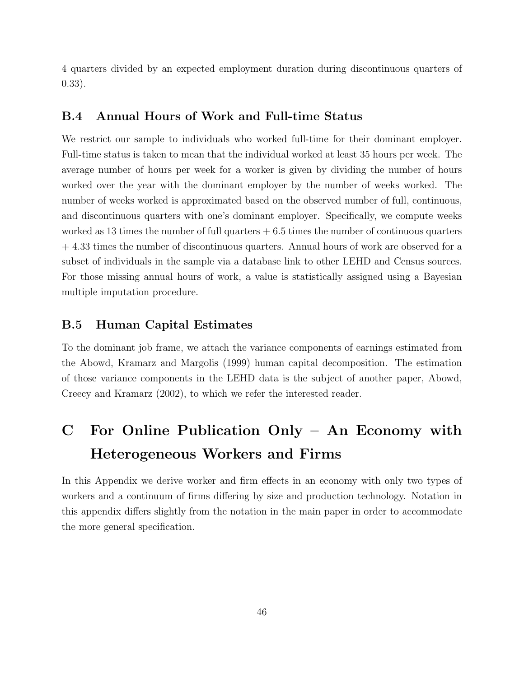4 quarters divided by an expected employment duration during discontinuous quarters of 0.33).

### B.4 Annual Hours of Work and Full-time Status

We restrict our sample to individuals who worked full-time for their dominant employer. Full-time status is taken to mean that the individual worked at least 35 hours per week. The average number of hours per week for a worker is given by dividing the number of hours worked over the year with the dominant employer by the number of weeks worked. The number of weeks worked is approximated based on the observed number of full, continuous, and discontinuous quarters with one's dominant employer. Specifically, we compute weeks worked as 13 times the number of full quarters  $+ 6.5$  times the number of continuous quarters + 4.33 times the number of discontinuous quarters. Annual hours of work are observed for a subset of individuals in the sample via a database link to other LEHD and Census sources. For those missing annual hours of work, a value is statistically assigned using a Bayesian multiple imputation procedure.

### B.5 Human Capital Estimates

To the dominant job frame, we attach the variance components of earnings estimated from the [Abowd, Kramarz and Margolis](#page-32-1) [\(1999\)](#page-32-1) human capital decomposition. The estimation of those variance components in the LEHD data is the subject of another paper, [Abowd,](#page-32-6) [Creecy and Kramarz](#page-32-6) [\(2002\)](#page-32-6), to which we refer the interested reader.

# <span id="page-48-0"></span>C For Online Publication Only – An Economy with Heterogeneous Workers and Firms

In this Appendix we derive worker and firm effects in an economy with only two types of workers and a continuum of firms differing by size and production technology. Notation in this appendix differs slightly from the notation in the main paper in order to accommodate the more general specification.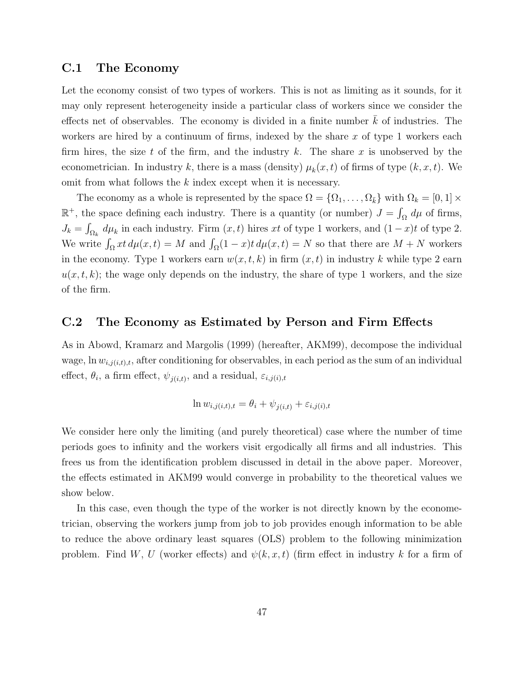#### C.1 The Economy

Let the economy consist of two types of workers. This is not as limiting as it sounds, for it may only represent heterogeneity inside a particular class of workers since we consider the effects net of observables. The economy is divided in a finite number  $\overline{k}$  of industries. The workers are hired by a continuum of firms, indexed by the share  $x$  of type 1 workers each firm hires, the size t of the firm, and the industry k. The share x is unobserved by the econometrician. In industry k, there is a mass (density)  $\mu_k(x,t)$  of firms of type  $(k, x, t)$ . We omit from what follows the k index except when it is necessary.

The economy as a whole is represented by the space  $\Omega = \{\Omega_1, \ldots, \Omega_k\}$  with  $\Omega_k = [0, 1] \times$  $\mathbb{R}^+$ , the space defining each industry. There is a quantity (or number)  $J = \int_{\Omega} d\mu$  of firms,  $J_k = \int_{\Omega_k} d\mu_k$  in each industry. Firm  $(x, t)$  hires xt of type 1 workers, and  $(1-x)t$  of type 2. We write  $\int_{\Omega} xt \, d\mu(x, t) = M$  and  $\int_{\Omega} (1 - x)t \, d\mu(x, t) = N$  so that there are  $M + N$  workers in the economy. Type 1 workers earn  $w(x, t, k)$  in firm  $(x, t)$  in industry k while type 2 earn  $u(x, t, k)$ ; the wage only depends on the industry, the share of type 1 workers, and the size of the firm.

#### C.2 The Economy as Estimated by Person and Firm Effects

As in [Abowd, Kramarz and Margolis](#page-32-1) [\(1999\)](#page-32-1) (hereafter, AKM99), decompose the individual wage,  $\ln w_{i,j(i,t),t}$ , after conditioning for observables, in each period as the sum of an individual effect,  $\theta_i$ , a firm effect,  $\psi_{j(i,t)}$ , and a residual,  $\varepsilon_{i,j(i),t}$ 

$$
\ln w_{i,j(i,t),t} = \theta_i + \psi_{j(i,t)} + \varepsilon_{i,j(i),t}
$$

We consider here only the limiting (and purely theoretical) case where the number of time periods goes to infinity and the workers visit ergodically all firms and all industries. This frees us from the identification problem discussed in detail in the above paper. Moreover, the effects estimated in AKM99 would converge in probability to the theoretical values we show below.

In this case, even though the type of the worker is not directly known by the econometrician, observing the workers jump from job to job provides enough information to be able to reduce the above ordinary least squares (OLS) problem to the following minimization problem. Find W, U (worker effects) and  $\psi(k, x, t)$  (firm effect in industry k for a firm of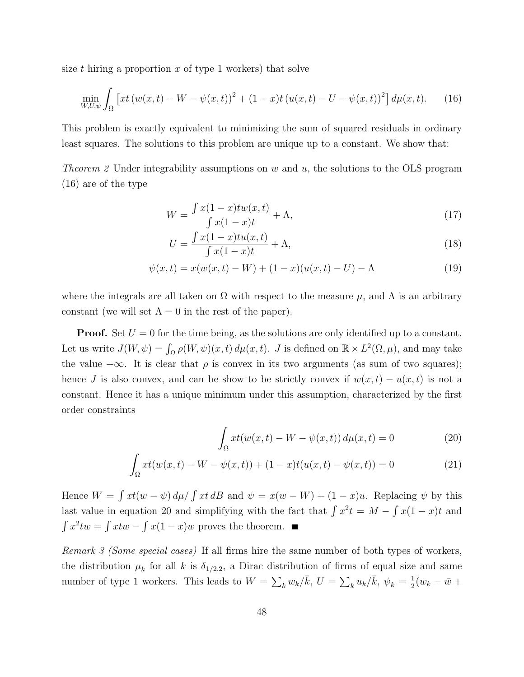size t hiring a proportion  $x$  of type 1 workers) that solve

<span id="page-50-0"></span>
$$
\min_{W,U,\psi} \int_{\Omega} \left[ xt \left( w(x,t) - W - \psi(x,t) \right)^2 + (1-x)t \left( u(x,t) - U - \psi(x,t) \right)^2 \right] d\mu(x,t).
$$
 (16)

This problem is exactly equivalent to minimizing the sum of squared residuals in ordinary least squares. The solutions to this problem are unique up to a constant. We show that:

*Theorem 2* Under integrability assumptions on  $w$  and  $u$ , the solutions to the OLS program [\(16\)](#page-50-0) are of the type

$$
W = \frac{\int x(1-x)tw(x,t)}{\int x(1-x)t} + \Lambda,\tag{17}
$$

$$
U = \frac{\int x(1-x)tu(x,t)}{\int x(1-x)t} + \Lambda,\tag{18}
$$

$$
\psi(x,t) = x(w(x,t) - W) + (1 - x)(u(x,t) - U) - \Lambda
$$
\n(19)

where the integrals are all taken on  $\Omega$  with respect to the measure  $\mu$ , and  $\Lambda$  is an arbitrary constant (we will set  $\Lambda = 0$  in the rest of the paper).

**Proof.** Set  $U = 0$  for the time being, as the solutions are only identified up to a constant. Let us write  $J(W, \psi) = \int_{\Omega} \rho(W, \psi)(x, t) d\mu(x, t)$ . *J* is defined on  $\mathbb{R} \times L^2(\Omega, \mu)$ , and may take the value  $+\infty$ . It is clear that  $\rho$  is convex in its two arguments (as sum of two squares); hence J is also convex, and can be show to be strictly convex if  $w(x,t) - u(x,t)$  is not a constant. Hence it has a unique minimum under this assumption, characterized by the first order constraints

<span id="page-50-1"></span>
$$
\int_{\Omega} xt(w(x,t) - W - \psi(x,t)) d\mu(x,t) = 0
$$
\n(20)

$$
\int_{\Omega} xt(w(x,t) - W - \psi(x,t)) + (1-x)t(u(x,t) - \psi(x,t)) = 0
$$
\n(21)

Hence  $W = \int xt(w - \psi) d\mu / \int xt dB$  and  $\psi = x(w - W) + (1 - x)u$ . Replacing  $\psi$  by this last value in equation [20](#page-50-1) and simplifying with the fact that  $\int x^2 t = M - \int x(1-x)t$  and  $\int x^2 t w = \int x t w - \int x (1 - x) w$  proves the theorem.

Remark 3 (Some special cases) If all firms hire the same number of both types of workers, the distribution  $\mu_k$  for all k is  $\delta_{1/2,2}$ , a Dirac distribution of firms of equal size and same number of type 1 workers. This leads to  $W = \sum_k w_k / \bar{k}$ ,  $U = \sum_k u_k / \bar{k}$ ,  $\psi_k = \frac{1}{2}$  $\frac{1}{2}(w_k - \bar{w} +$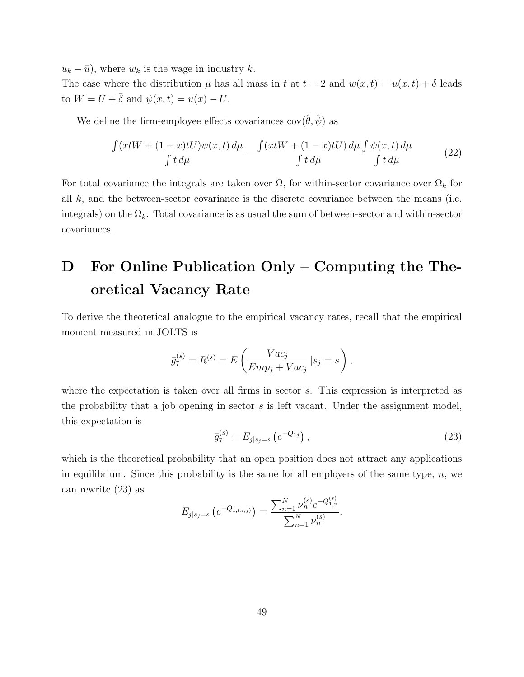$u_k - \bar{u}$ , where  $w_k$  is the wage in industry k.

The case where the distribution  $\mu$  has all mass in t at  $t = 2$  and  $w(x, t) = u(x, t) + \delta$  leads to  $W = U + \overline{\delta}$  and  $\psi(x, t) = u(x) - U$ .

We define the firm-employee effects covariances  $cov(\hat{\theta}, \hat{\psi})$  as

$$
\frac{\int (xtW + (1-x)tU)\psi(x,t) d\mu}{\int t d\mu} - \frac{\int (xtW + (1-x)tU) d\mu}{\int t d\mu} \frac{\int \psi(x,t) d\mu}{\int t d\mu}
$$
(22)

For total covariance the integrals are taken over  $\Omega$ , for within-sector covariance over  $\Omega_k$  for all  $k$ , and the between-sector covariance is the discrete covariance between the means (i.e. integrals) on the  $\Omega_k$ . Total covariance is as usual the sum of between-sector and within-sector covariances.

# D For Online Publication Only – Computing the Theoretical Vacancy Rate

To derive the theoretical analogue to the empirical vacancy rates, recall that the empirical moment measured in JOLTS is

$$
\bar{g}_{7}^{(s)} = R^{(s)} = E\left(\frac{Vac_j}{Emp_j + Vac_j} | s_j = s\right),\,
$$

where the expectation is taken over all firms in sector s. This expression is interpreted as the probability that a job opening in sector  $s$  is left vacant. Under the assignment model, this expectation is

<span id="page-51-0"></span>
$$
\bar{g}_7^{(s)} = E_{j|s_j = s} \left( e^{-Q_{1j}} \right),\tag{23}
$$

which is the theoretical probability that an open position does not attract any applications in equilibrium. Since this probability is the same for all employers of the same type,  $n$ , we can rewrite [\(23\)](#page-51-0) as

$$
E_{j|s_j=s}\left(e^{-Q_{1,(n,j)}}\right)=\frac{\sum_{n=1}^N\nu_n^{(s)}e^{-Q_{1,n}^{(s)}}}{\sum_{n=1}^N\nu_n^{(s)}}.
$$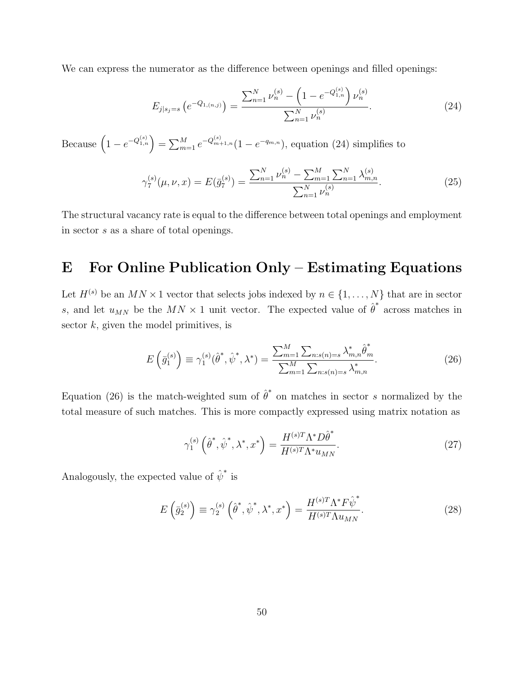We can express the numerator as the difference between openings and filled openings:

<span id="page-52-1"></span>
$$
E_{j|s_j=s}\left(e^{-Q_{1,(n,j)}}\right)=\frac{\sum_{n=1}^N\nu_n^{(s)}-\left(1-e^{-Q_{1,n}^{(s)}}\right)\nu_n^{(s)}}{\sum_{n=1}^N\nu_n^{(s)}}.
$$
\n(24)

Because  $(1 - e^{-Q_{1,n}^{(s)}}) = \sum_{m=1}^{M} e^{-Q_{m+1,n}^{(s)}} (1 - e^{-q_{m,n}})$ , equation [\(24\)](#page-52-1) simplifies to

$$
\gamma_7^{(s)}(\mu,\nu,x) = E(\bar{g}_7^{(s)}) = \frac{\sum_{n=1}^N \nu_n^{(s)} - \sum_{m=1}^M \sum_{n=1}^N \lambda_{m,n}^{(s)}}{\sum_{n=1}^N \nu_n^{(s)}}.
$$
\n(25)

The structural vacancy rate is equal to the difference between total openings and employment in sector s as a share of total openings.

### <span id="page-52-0"></span>E For Online Publication Only – Estimating Equations

Let  $H^{(s)}$  be an  $MN \times 1$  vector that selects jobs indexed by  $n \in \{1, ..., N\}$  that are in sector s, and let  $u_{MN}$  be the  $MN \times 1$  unit vector. The expected value of  $\hat{\theta}^*$  across matches in sector  $k$ , given the model primitives, is

<span id="page-52-2"></span>
$$
E\left(\bar{g}_{1}^{(s)}\right) \equiv \gamma_{1}^{(s)}(\hat{\theta}^*, \hat{\psi}^*, \lambda^*) = \frac{\sum_{m=1}^{M} \sum_{n:s(n)=s} \lambda_{m,n}^* \hat{\theta}_m^*}{\sum_{m=1}^{M} \sum_{n:s(n)=s} \lambda_{m,n}^*}.
$$
 (26)

Equation [\(26\)](#page-52-2) is the match-weighted sum of  $\hat{\theta}^*$  on matches in sector s normalized by the total measure of such matches. This is more compactly expressed using matrix notation as

$$
\gamma_1^{(s)}\left(\hat{\theta}^*, \hat{\psi}^*, \lambda^*, x^*\right) = \frac{H^{(s)T}\Lambda^* D\hat{\theta}^*}{H^{(s)T}\Lambda^* u_{MN}}.\tag{27}
$$

Analogously, the expected value of  $\hat{\psi}^*$  is

$$
E\left(\bar{g}_2^{(s)}\right) \equiv \gamma_2^{(s)}\left(\hat{\theta}^*, \hat{\psi}^*, \lambda^*, x^*\right) = \frac{H^{(s)T}\Lambda^* F \hat{\psi}^*}{H^{(s)T}\Lambda u_{MN}}.\tag{28}
$$